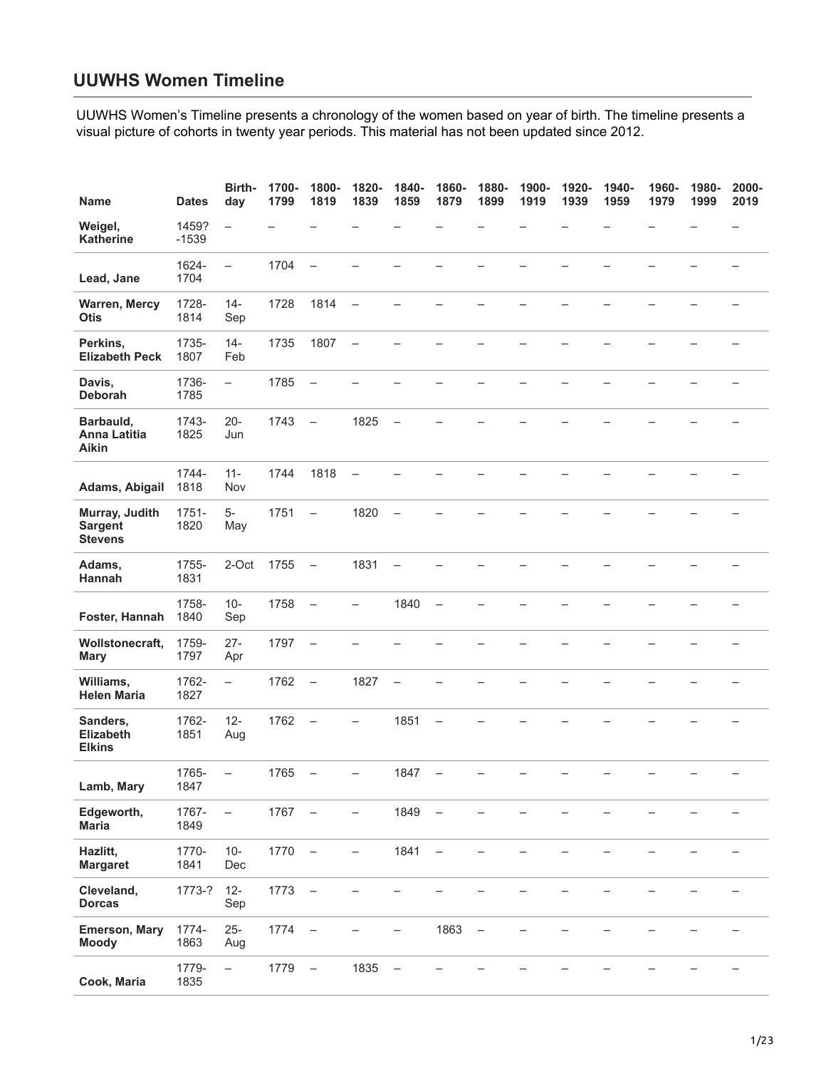## **UUWHS Women Timeline**

[UUWHS Women's Timeline presents a chronology of the women based on year of birth. The timeline presents a](https://uuhhs.org/womens-history/uuwhs-women-timeline/)  visual picture of cohorts in twenty year periods. This material has not been updated since 2012.

| <b>Name</b>                                        | <b>Dates</b>     | Birth-<br>day            | 1700-<br>1799 | 1800-<br>1819            | 1820-<br>1839            | 1840-<br>1859            | 1860-<br>1879            | 1880-<br>1899            | 1900-<br>1919 | 1920-<br>1939 | 1940-<br>1959 | 1960-<br>1979 | 1980-<br>1999 | 2000-<br>2019            |
|----------------------------------------------------|------------------|--------------------------|---------------|--------------------------|--------------------------|--------------------------|--------------------------|--------------------------|---------------|---------------|---------------|---------------|---------------|--------------------------|
| Weigel,<br><b>Katherine</b>                        | 1459?<br>$-1539$ | $\overline{\phantom{0}}$ |               |                          |                          |                          |                          |                          |               |               |               |               |               |                          |
| Lead, Jane                                         | 1624-<br>1704    | $\overline{\phantom{0}}$ | 1704          | $\overline{\phantom{0}}$ |                          |                          |                          |                          |               |               |               |               |               |                          |
| <b>Warren, Mercy</b><br><b>Otis</b>                | 1728-<br>1814    | $14 -$<br>Sep            | 1728          | 1814                     | $\overline{\phantom{a}}$ | $\overline{\phantom{0}}$ |                          |                          |               |               |               |               |               |                          |
| Perkins,<br><b>Elizabeth Peck</b>                  | 1735-<br>1807    | $14 -$<br>Feb            | 1735          | 1807                     | $\overline{\phantom{a}}$ | L,                       |                          |                          |               |               |               |               |               |                          |
| Davis,<br>Deborah                                  | 1736-<br>1785    | $\qquad \qquad -$        | 1785          | $\qquad \qquad -$        |                          |                          |                          |                          |               |               |               |               |               |                          |
| Barbauld,<br><b>Anna Latitia</b><br>Aikin          | 1743-<br>1825    | $20 -$<br>Jun            | 1743          | $\overline{\phantom{0}}$ | 1825                     | $\overline{\phantom{0}}$ |                          |                          |               |               |               |               |               |                          |
| Adams, Abigail                                     | 1744-<br>1818    | $11 -$<br>Nov            | 1744          | 1818                     | $\overline{\phantom{a}}$ |                          |                          |                          |               |               |               |               |               |                          |
| Murray, Judith<br><b>Sargent</b><br><b>Stevens</b> | 1751-<br>1820    | $5-$<br>May              | 1751          | $\overline{\phantom{0}}$ | 1820                     | $\overline{\phantom{0}}$ |                          |                          |               |               |               |               |               |                          |
| Adams,<br>Hannah                                   | 1755-<br>1831    | 2-Oct                    | 1755          | $\equiv$                 | 1831                     | $\overline{\phantom{0}}$ |                          |                          |               |               |               |               |               |                          |
| Foster, Hannah                                     | 1758-<br>1840    | $10 -$<br>Sep            | 1758          | $\qquad \qquad -$        | $\overline{\phantom{0}}$ | 1840                     | $\overline{\phantom{0}}$ |                          |               |               |               |               |               |                          |
| Wollstonecraft,<br><b>Mary</b>                     | 1759-<br>1797    | $27 -$<br>Apr            | 1797          | $\overline{\phantom{0}}$ |                          |                          |                          |                          |               |               |               |               |               |                          |
| Williams,<br><b>Helen Maria</b>                    | 1762-<br>1827    | $\qquad \qquad -$        | 1762          | $\overline{\phantom{a}}$ | 1827                     | $\qquad \qquad -$        |                          |                          |               |               |               |               |               |                          |
| Sanders,<br><b>Elizabeth</b><br><b>Elkins</b>      | 1762-<br>1851    | $12 -$<br>Aug            | 1762          | $\overline{\phantom{0}}$ |                          | 1851                     |                          |                          |               |               |               |               |               |                          |
| Lamb, Mary                                         | 1765-<br>1847    | $\qquad \qquad -$        | 1765          | $\qquad \qquad -$        | $\overline{\phantom{0}}$ | 1847                     | $\qquad \qquad -$        |                          |               |               |               |               | -             | $\qquad \qquad -$        |
| Edgeworth,<br><b>Maria</b>                         | 1767-<br>1849    | $\overline{\phantom{m}}$ | 1767          | $\qquad \qquad -$        | -                        | 1849                     | $\qquad \qquad -$        |                          |               |               |               |               |               |                          |
| Hazlitt,<br><b>Margaret</b>                        | 1770-<br>1841    | $10 -$<br>Dec            | 1770          | $\overline{\phantom{0}}$ | -                        | 1841                     | $\qquad \qquad -$        |                          |               |               |               |               |               |                          |
| Cleveland,<br><b>Dorcas</b>                        | 1773-?           | $12 -$<br>Sep            | 1773          | $\qquad \qquad -$        |                          |                          |                          |                          |               |               |               |               |               |                          |
| <b>Emerson, Mary</b><br><b>Moody</b>               | 1774-<br>1863    | $25 -$<br>Aug            | 1774          | $\qquad \qquad -$        |                          | —                        | 1863                     | $\overline{\phantom{0}}$ |               |               |               |               |               |                          |
| Cook, Maria                                        | 1779-<br>1835    | $\qquad \qquad -$        | 1779          | $\qquad \qquad -$        | 1835                     | $\overline{\phantom{a}}$ |                          |                          |               |               |               |               |               | $\overline{\phantom{0}}$ |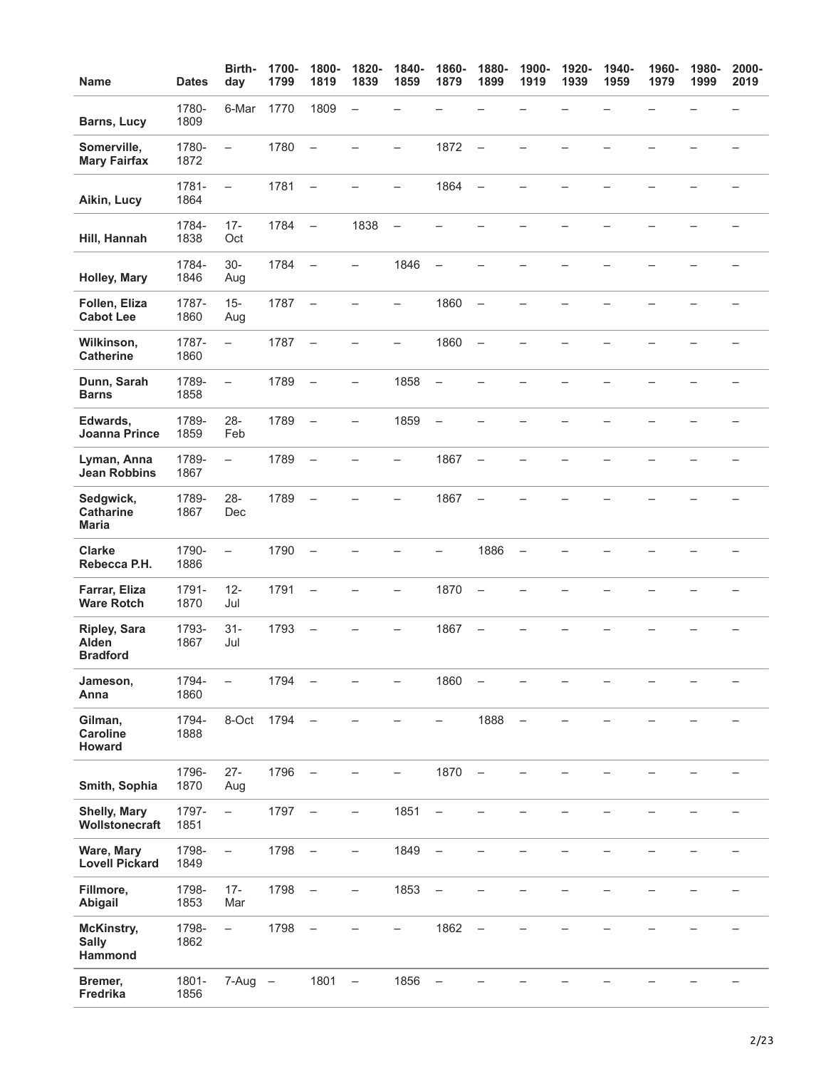| <b>Name</b>                                     | <b>Dates</b>  | Birth-<br>day            | 1700-<br>1799 | 1800-<br>1819            | 1820-<br>1839            | 1840-<br>1859            | 1860-<br>1879            | 1880-<br>1899            | 1900-<br>1919     | 1920-<br>1939 | 1940-<br>1959 | 1960-<br>1979 | 1980-<br>1999 | 2000-<br>2019            |
|-------------------------------------------------|---------------|--------------------------|---------------|--------------------------|--------------------------|--------------------------|--------------------------|--------------------------|-------------------|---------------|---------------|---------------|---------------|--------------------------|
| <b>Barns, Lucy</b>                              | 1780-<br>1809 | 6-Mar                    | 1770          | 1809                     | $\overline{\phantom{0}}$ |                          |                          |                          |                   |               |               |               |               |                          |
| Somerville,<br><b>Mary Fairfax</b>              | 1780-<br>1872 | $\overline{\phantom{0}}$ | 1780          | $\overline{\phantom{0}}$ |                          | $\overline{\phantom{0}}$ | 1872                     | $\qquad \qquad -$        |                   |               |               |               |               |                          |
| Aikin, Lucy                                     | 1781-<br>1864 | $\qquad \qquad -$        | 1781          | $\overline{\phantom{0}}$ |                          | -                        | 1864                     | $\overline{\phantom{0}}$ |                   |               |               |               |               |                          |
| Hill, Hannah                                    | 1784-<br>1838 | $17 -$<br>Oct            | 1784          | $\qquad \qquad -$        | 1838                     | $\qquad \qquad -$        |                          |                          |                   |               |               |               |               |                          |
| <b>Holley, Mary</b>                             | 1784-<br>1846 | $30-$<br>Aug             | 1784          | $\overline{\phantom{0}}$ |                          | 1846                     |                          |                          |                   |               |               |               |               |                          |
| Follen, Eliza<br><b>Cabot Lee</b>               | 1787-<br>1860 | $15 -$<br>Aug            | 1787          | $\qquad \qquad -$        |                          | $\overline{\phantom{0}}$ | 1860                     | $\overline{\phantom{m}}$ |                   |               |               |               |               |                          |
| Wilkinson,<br><b>Catherine</b>                  | 1787-<br>1860 | $\equiv$                 | 1787          | $\overline{\phantom{0}}$ | $\overline{\phantom{a}}$ | $\overline{\phantom{0}}$ | 1860                     | $\qquad \qquad -$        |                   |               |               |               |               |                          |
| Dunn, Sarah<br><b>Barns</b>                     | 1789-<br>1858 | $\qquad \qquad -$        | 1789          | $\overline{\phantom{0}}$ | $\overline{\phantom{0}}$ | 1858                     | $\overline{\phantom{0}}$ |                          |                   |               |               |               |               |                          |
| Edwards,<br><b>Joanna Prince</b>                | 1789-<br>1859 | $28 -$<br>Feb            | 1789          | $\qquad \qquad -$        | —                        | 1859                     | $\overline{\phantom{0}}$ |                          |                   |               |               |               |               |                          |
| Lyman, Anna<br><b>Jean Robbins</b>              | 1789-<br>1867 | $\overline{\phantom{0}}$ | 1789          | $\overline{\phantom{0}}$ |                          | —                        | 1867                     | $\overline{\phantom{0}}$ |                   |               |               |               |               |                          |
| Sedgwick,<br><b>Catharine</b><br><b>Maria</b>   | 1789-<br>1867 | $28 -$<br>Dec            | 1789          | $\overline{\phantom{0}}$ |                          |                          | 1867                     | $\qquad \qquad -$        |                   |               |               |               |               |                          |
| <b>Clarke</b><br>Rebecca P.H.                   | 1790-<br>1886 | $\qquad \qquad -$        | 1790          | $\overline{\phantom{0}}$ |                          |                          | $\overline{\phantom{0}}$ | 1886                     | $\qquad \qquad -$ |               |               |               |               |                          |
| Farrar, Eliza<br><b>Ware Rotch</b>              | 1791-<br>1870 | $12 -$<br>Jul            | 1791          | $\overline{\phantom{0}}$ |                          | -                        | 1870                     | $\qquad \qquad -$        |                   |               |               |               |               |                          |
| <b>Ripley, Sara</b><br>Alden<br><b>Bradford</b> | 1793-<br>1867 | $31 -$<br>Jul            | 1793          | $\qquad \qquad -$        |                          |                          | 1867                     |                          |                   |               |               |               |               |                          |
| Jameson,<br>Anna                                | 1794-<br>1860 | $\qquad \qquad -$        | 1794          | $\overline{\phantom{0}}$ |                          | -                        | 1860                     | $\qquad \qquad -$        |                   |               |               |               |               | $\overline{\phantom{0}}$ |
| Gilman,<br><b>Caroline</b><br><b>Howard</b>     | 1794-<br>1888 | 8-Oct                    | 1794          | $\qquad \qquad -$        |                          |                          | -                        | 1888                     | $\qquad \qquad -$ |               |               |               |               |                          |
| Smith, Sophia                                   | 1796-<br>1870 | $27 -$<br>Aug            | 1796          | $\overline{\phantom{0}}$ |                          |                          | 1870                     | $\overline{\phantom{0}}$ |                   |               |               |               |               |                          |
| <b>Shelly, Mary</b><br>Wollstonecraft           | 1797-<br>1851 | $\qquad \qquad -$        | 1797          | $\qquad \qquad -$        | $\overline{\phantom{0}}$ | 1851                     | $\overline{\phantom{0}}$ |                          |                   |               |               |               |               |                          |
| Ware, Mary<br><b>Lovell Pickard</b>             | 1798-<br>1849 | $\qquad \qquad -$        | 1798          | $\overline{\phantom{m}}$ | $\qquad \qquad -$        | 1849                     | $\qquad \qquad -$        | $\overline{\phantom{0}}$ |                   |               |               |               |               |                          |
| Fillmore,<br>Abigail                            | 1798-<br>1853 | $17 -$<br>Mar            | 1798          | $\qquad \qquad -$        | -                        | 1853                     | $\qquad \qquad -$        |                          |                   |               |               |               |               |                          |
| McKinstry,<br><b>Sally</b><br>Hammond           | 1798-<br>1862 | $\qquad \qquad -$        | 1798          | $\overline{\phantom{0}}$ |                          |                          | 1862                     | $\overline{\phantom{0}}$ |                   |               |               |               |               |                          |
| Bremer,<br>Fredrika                             | 1801-<br>1856 | $7-Aug -$                |               | 1801                     | $\qquad \qquad -$        | 1856                     | $\qquad \qquad -$        |                          |                   |               |               |               |               |                          |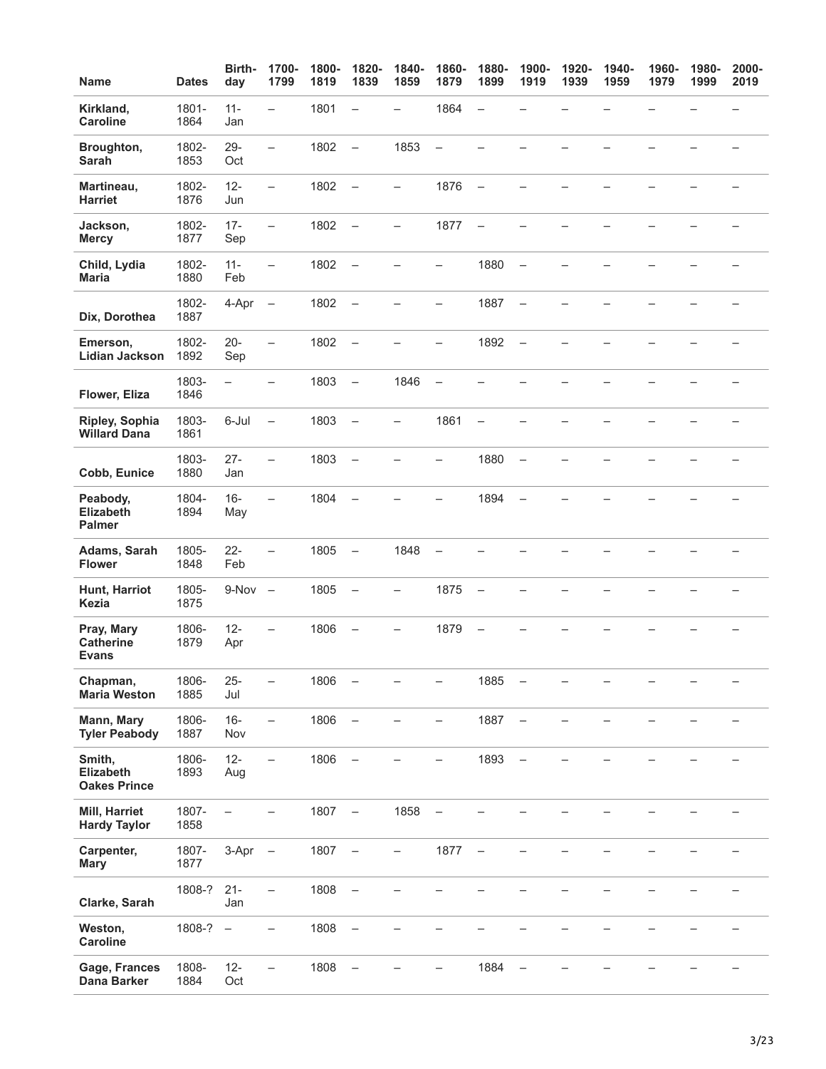| <b>Name</b>                                       | <b>Dates</b>  | Birth-<br>day            | 1700-<br>1799            | 1800-<br>1819 | 1820-<br>1839            | 1840-<br>1859            | 1860-<br>1879            | 1880-<br>1899            | 1900-<br>1919            | 1920-<br>1939 | 1940-<br>1959 | 1960-<br>1979 | 1980-<br>1999 | 2000-<br>2019 |
|---------------------------------------------------|---------------|--------------------------|--------------------------|---------------|--------------------------|--------------------------|--------------------------|--------------------------|--------------------------|---------------|---------------|---------------|---------------|---------------|
| Kirkland,<br><b>Caroline</b>                      | 1801-<br>1864 | $11 -$<br>Jan            | $\equiv$                 | 1801          | $\overline{\phantom{0}}$ | $\equiv$                 | 1864                     | $\qquad \qquad -$        |                          |               |               |               |               |               |
| Broughton,<br>Sarah                               | 1802-<br>1853 | $29 -$<br>Oct            | $\equiv$                 | 1802          | $\overline{\phantom{0}}$ | 1853                     | $\equiv$                 |                          |                          |               |               |               |               |               |
| Martineau,<br><b>Harriet</b>                      | 1802-<br>1876 | $12 -$<br>Jun            | $\qquad \qquad -$        | 1802          | $\overline{\phantom{0}}$ | $\overline{\phantom{0}}$ | 1876                     | $\overline{\phantom{a}}$ | $\overline{\phantom{0}}$ |               |               |               |               |               |
| Jackson,<br><b>Mercy</b>                          | 1802-<br>1877 | $17 -$<br>Sep            | $\qquad \qquad -$        | 1802          | $\overline{\phantom{a}}$ | -                        | 1877                     | $\overline{\phantom{a}}$ |                          |               |               |               |               |               |
| Child, Lydia<br><b>Maria</b>                      | 1802-<br>1880 | $11 -$<br>Feb            | $\qquad \qquad -$        | 1802          | $\overline{\phantom{a}}$ |                          |                          | 1880                     | $\overline{\phantom{0}}$ |               |               |               |               |               |
| Dix, Dorothea                                     | 1802-<br>1887 | 4-Apr                    | $\overline{\phantom{m}}$ | 1802          | $\overline{a}$           |                          |                          | 1887                     | $\overline{\phantom{0}}$ |               |               |               |               |               |
| Emerson,<br><b>Lidian Jackson</b>                 | 1802-<br>1892 | $20 -$<br>Sep            | $\equiv$                 | 1802          | $\overline{\phantom{a}}$ | $\overline{\phantom{0}}$ | $\overline{\phantom{0}}$ | 1892                     | $\overline{\phantom{a}}$ |               |               |               |               |               |
| Flower, Eliza                                     | 1803-<br>1846 | $\overline{\phantom{0}}$ | —                        | 1803          | $\overline{\phantom{0}}$ | 1846                     | $\overline{\phantom{0}}$ |                          |                          |               |               |               |               |               |
| Ripley, Sophia<br><b>Willard Dana</b>             | 1803-<br>1861 | 6-Jul                    | $\qquad \qquad -$        | 1803          | $\equiv$                 | -                        | 1861                     | $\qquad \qquad -$        |                          |               |               |               |               |               |
| Cobb, Eunice                                      | 1803-<br>1880 | $27 -$<br>Jan            | $\overline{\phantom{0}}$ | 1803          | $\overline{\phantom{0}}$ |                          | $\overline{\phantom{0}}$ | 1880                     | $\overline{\phantom{0}}$ |               |               |               |               |               |
| Peabody,<br><b>Elizabeth</b><br><b>Palmer</b>     | 1804-<br>1894 | $16 -$<br>May            | $\equiv$                 | 1804          | $\equiv$                 |                          |                          | 1894                     | $\overline{\phantom{0}}$ |               |               |               |               |               |
| Adams, Sarah<br><b>Flower</b>                     | 1805-<br>1848 | $22 -$<br>Feb            | $\overline{\phantom{0}}$ | 1805          | $\overline{\phantom{a}}$ | 1848                     | $\overline{\phantom{0}}$ |                          |                          |               |               |               |               |               |
| Hunt, Harriot<br><b>Kezia</b>                     | 1805-<br>1875 | $9-Nov -$                |                          | 1805          | $\qquad \qquad -$        | —                        | 1875                     | $\qquad \qquad -$        |                          |               |               |               |               |               |
| Pray, Mary<br><b>Catherine</b><br><b>Evans</b>    | 1806-<br>1879 | $12 -$<br>Apr            | $\overline{\phantom{0}}$ | 1806          | $\overline{\phantom{0}}$ |                          | 1879                     | $\overline{\phantom{0}}$ |                          |               |               |               |               |               |
| Chapman,<br><b>Maria Weston</b>                   | 1806-<br>1885 | $25 -$<br>Jul            | $\overline{\phantom{0}}$ | 1806          | $\overline{\phantom{0}}$ |                          | —                        | 1885                     | $\qquad \qquad -$        |               |               |               |               |               |
| Mann, Mary<br><b>Tyler Peabody</b>                | 1806-<br>1887 | $16 -$<br>Nov            | $\qquad \qquad -$        | 1806          | $\overline{\phantom{a}}$ | $\overline{\phantom{0}}$ | -                        | 1887                     | $\overline{\phantom{a}}$ |               |               |               |               |               |
| Smith,<br><b>Elizabeth</b><br><b>Oakes Prince</b> | 1806-<br>1893 | $12 -$<br>Aug            | $\qquad \qquad -$        | 1806          | $\qquad \qquad -$        |                          |                          | 1893                     | $\overline{\phantom{0}}$ |               |               |               |               |               |
| Mill, Harriet<br><b>Hardy Taylor</b>              | 1807-<br>1858 | $\overline{\phantom{0}}$ | -                        | 1807          | $\overline{\phantom{a}}$ | 1858                     | $\overline{\phantom{0}}$ |                          |                          |               |               |               |               |               |
| Carpenter,<br><b>Mary</b>                         | 1807-<br>1877 | 3-Apr                    | $\overline{\phantom{a}}$ | 1807          | $\overline{\phantom{a}}$ | $\qquad \qquad -$        | 1877                     | $\overline{\phantom{m}}$ |                          |               |               |               |               |               |
| Clarke, Sarah                                     | 1808-?        | $21 -$<br>Jan            | $\overline{\phantom{0}}$ | 1808          | $\qquad \qquad -$        |                          |                          |                          |                          |               |               |               |               |               |
| Weston,<br><b>Caroline</b>                        | 1808-?        | $\overline{\phantom{a}}$ | $\overline{\phantom{0}}$ | 1808          | $\overline{\phantom{a}}$ |                          |                          |                          |                          |               |               |               |               |               |
| Gage, Frances<br><b>Dana Barker</b>               | 1808-<br>1884 | $12 -$<br>Oct            | $\overline{\phantom{0}}$ | 1808          | $\overline{\phantom{a}}$ |                          |                          | 1884                     | $\overline{\phantom{0}}$ |               |               |               |               |               |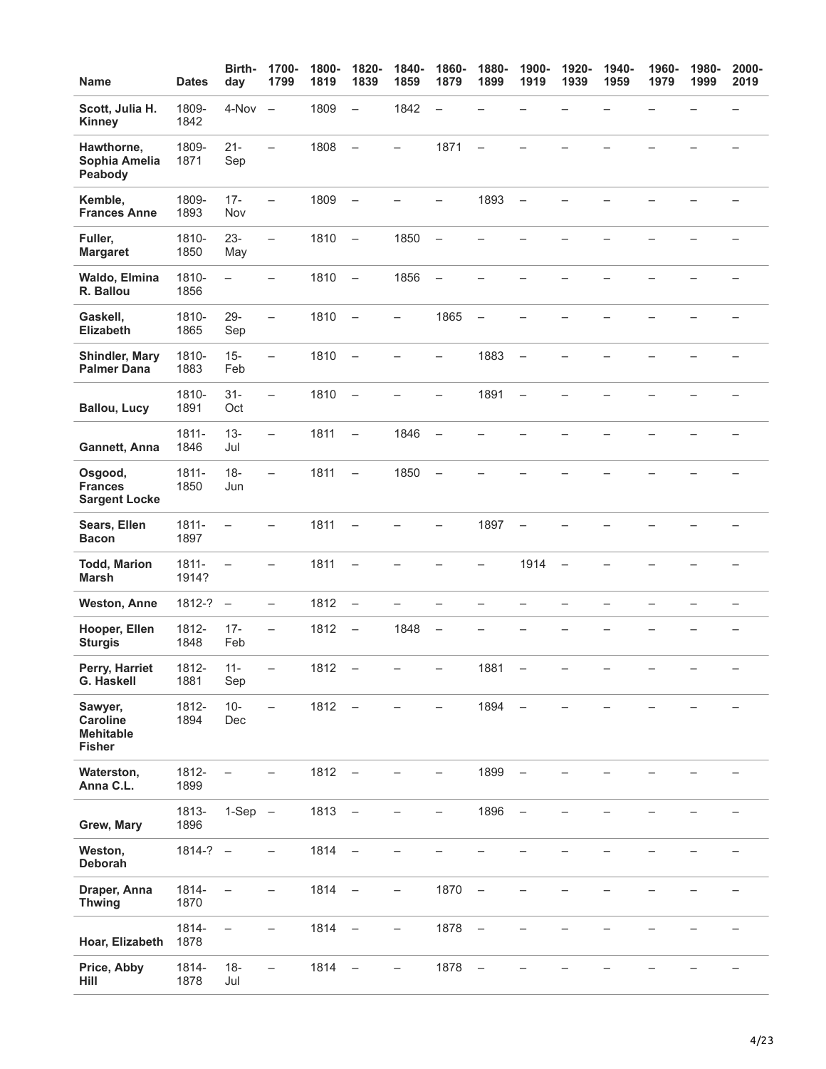| <b>Name</b>                                              | <b>Dates</b>      | Birth-<br>day            | 1700-<br>1799            | 1800-<br>1819 | 1820-<br>1839            | 1840-<br>1859            | 1860-<br>1879            | 1880-<br>1899            | 1900-<br>1919            | 1920-<br>1939            | 1940-<br>1959 | 1960-<br>1979 | 1980-<br>1999 | 2000-<br>2019 |
|----------------------------------------------------------|-------------------|--------------------------|--------------------------|---------------|--------------------------|--------------------------|--------------------------|--------------------------|--------------------------|--------------------------|---------------|---------------|---------------|---------------|
| Scott, Julia H.<br><b>Kinney</b>                         | 1809-<br>1842     | 4-Nov                    | $\overline{\phantom{m}}$ | 1809          | $\qquad \qquad -$        | 1842                     | $\overline{\phantom{0}}$ |                          |                          |                          |               |               |               |               |
| Hawthorne,<br>Sophia Amelia<br>Peabody                   | 1809-<br>1871     | $21 -$<br>Sep            | $\overline{\phantom{0}}$ | 1808          | $\equiv$                 | $\rightarrow$            | 1871                     | $\equiv$                 |                          |                          |               |               |               |               |
| Kemble,<br><b>Frances Anne</b>                           | 1809-<br>1893     | $17 -$<br>Nov            | $\equiv$                 | 1809          | $\frac{1}{2}$            |                          | $\overline{\phantom{0}}$ | 1893                     | $\overline{\phantom{0}}$ |                          |               |               |               |               |
| Fuller,<br><b>Margaret</b>                               | 1810-<br>1850     | $23 -$<br>May            | $\overline{\phantom{0}}$ | 1810          | $\overline{\phantom{a}}$ | 1850                     | $\overline{\phantom{m}}$ |                          |                          |                          |               |               |               |               |
| Waldo, Elmina<br>R. Ballou                               | 1810-<br>1856     | $\overline{\phantom{0}}$ | $\overline{\phantom{0}}$ | 1810          | $\sim$                   | 1856                     | $\overline{\phantom{m}}$ | L.                       |                          |                          |               |               |               |               |
| Gaskell,<br>Elizabeth                                    | 1810-<br>1865     | $29 -$<br>Sep            | $\qquad \qquad -$        | 1810          | $\overline{\phantom{a}}$ | $\overline{\phantom{0}}$ | 1865                     | $\overline{\phantom{m}}$ | $\overline{\phantom{0}}$ |                          |               |               |               |               |
| Shindler, Mary<br><b>Palmer Dana</b>                     | 1810-<br>1883     | $15 -$<br>Feb            | $\equiv$                 | 1810          | $\overline{\phantom{a}}$ | $\overline{\phantom{0}}$ | $\overline{\phantom{0}}$ | 1883                     | $\overline{\phantom{m}}$ | $\overline{\phantom{0}}$ |               |               |               |               |
| <b>Ballou, Lucy</b>                                      | 1810-<br>1891     | $31 -$<br>Oct            | $\overline{\phantom{m}}$ | 1810          | $\overline{\phantom{a}}$ | $\overline{\phantom{0}}$ | $\equiv$                 | 1891                     | $\qquad \qquad -$        | L.                       |               |               |               |               |
| Gannett, Anna                                            | $1811 -$<br>1846  | $13 -$<br>Jul            | $\equiv$                 | 1811          | $\qquad \qquad -$        | 1846                     | $\overline{\phantom{0}}$ |                          |                          |                          |               |               |               |               |
| Osgood,<br><b>Frances</b><br><b>Sargent Locke</b>        | $1811 -$<br>1850  | $18 -$<br>Jun            | $\overline{\phantom{m}}$ | 1811          | $\frac{1}{2}$            | 1850                     | $\overline{\phantom{0}}$ |                          |                          |                          |               |               |               |               |
| Sears, Ellen<br><b>Bacon</b>                             | 1811-<br>1897     | $\equiv$                 | $\overline{\phantom{0}}$ | 1811          | $\qquad \qquad -$        |                          | -                        | 1897                     | $\overline{\phantom{0}}$ |                          |               |               |               |               |
| <b>Todd, Marion</b><br><b>Marsh</b>                      | $1811 -$<br>1914? | $\overline{\phantom{0}}$ | $\overline{\phantom{0}}$ | 1811          | $\qquad \qquad -$        |                          |                          | $\overline{\phantom{0}}$ | 1914                     | $\qquad \qquad -$        |               |               |               |               |
| <b>Weston, Anne</b>                                      | 1812-?            | $\overline{\phantom{0}}$ | $\overline{\phantom{m}}$ | 1812          | $\qquad \qquad -$        | $\rightarrow$            | $\overline{\phantom{0}}$ | $\equiv$                 | $\overline{\phantom{0}}$ | $\overline{\phantom{0}}$ | $\equiv$      |               |               |               |
| Hooper, Ellen<br><b>Sturgis</b>                          | 1812-<br>1848     | $17 -$<br>Feb            | $\qquad \qquad -$        | 1812          | $\qquad \qquad -$        | 1848                     | $\overline{\phantom{0}}$ |                          |                          |                          |               |               |               |               |
| Perry, Harriet<br>G. Haskell                             | 1812-<br>1881     | $11 -$<br>Sep            | -                        | 1812          | $\overline{\phantom{0}}$ | $\qquad \qquad -$        |                          | 1881                     | $\qquad \qquad -$        |                          |               |               |               |               |
| Sawyer,<br>Caroline<br><b>Mehitable</b><br><b>Fisher</b> | 1812-<br>1894     | $10 -$<br>Dec            | $\equiv$                 | 1812          | $\overline{\phantom{a}}$ |                          |                          | 1894                     | $\overline{\phantom{0}}$ |                          |               |               |               |               |
| Waterston,<br>Anna C.L.                                  | 1812-<br>1899     |                          |                          | $1812 -$      |                          |                          |                          | 1899                     | $\overline{\phantom{a}}$ |                          |               |               |               |               |
| Grew, Mary                                               | 1813-<br>1896     | $1-Sep -$                |                          | $1813 -$      |                          | $\qquad \qquad -$        | $\overline{\phantom{0}}$ | 1896                     | $\overline{\phantom{a}}$ |                          |               |               |               |               |
| Weston,<br>Deborah                                       | $1814-? -$        |                          | $\qquad \qquad -$        | 1814          | $\overline{\phantom{a}}$ |                          |                          |                          |                          |                          |               |               |               |               |
| Draper, Anna<br><b>Thwing</b>                            | 1814-<br>1870     |                          | $\overline{\phantom{0}}$ | $1814 -$      |                          | $\overline{\phantom{0}}$ | 1870                     | $\overline{\phantom{m}}$ |                          |                          |               |               |               |               |
| Hoar, Elizabeth                                          | 1814-<br>1878     | $\overline{\phantom{0}}$ | $\overline{\phantom{0}}$ | $1814 -$      |                          | $\qquad \qquad -$        | 1878                     | $\overline{\phantom{m}}$ |                          |                          |               |               |               |               |
| Price, Abby<br>Hill                                      | 1814-<br>1878     | $18 -$<br>Jul            | $\overline{\phantom{0}}$ | 1814          | $\overline{\phantom{a}}$ |                          | 1878                     | $\overline{\phantom{m}}$ |                          |                          |               |               |               |               |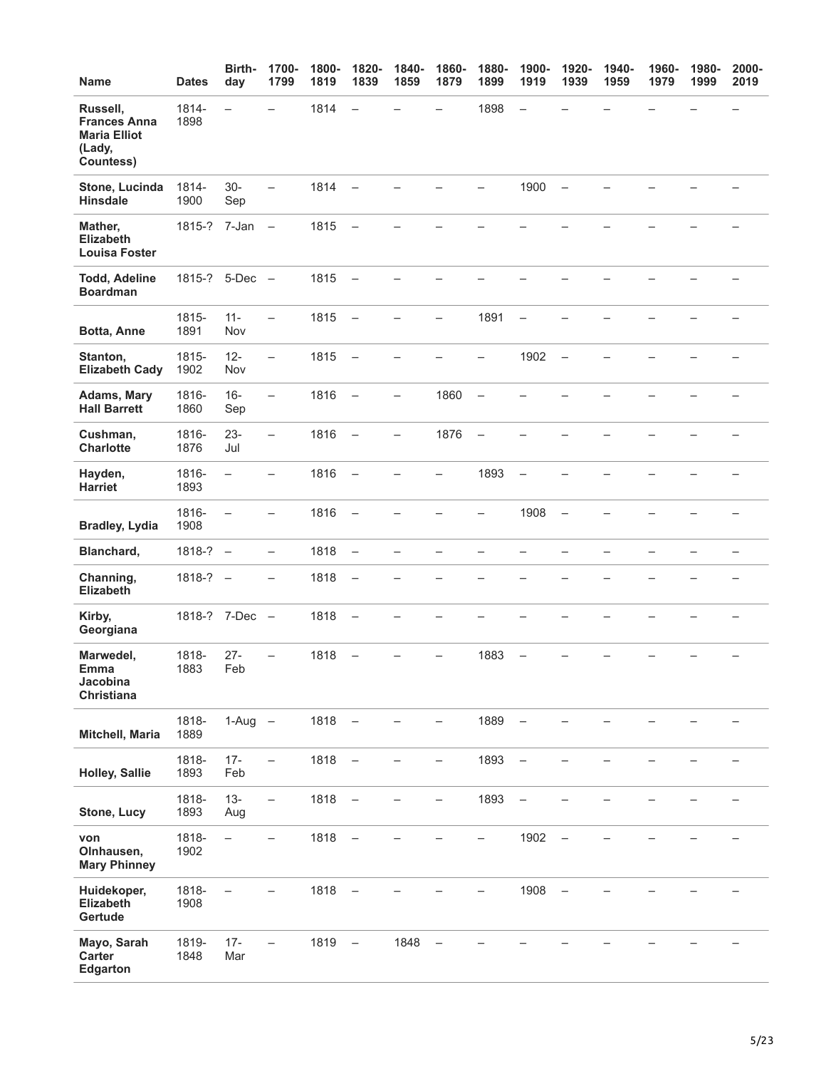| Name                                                                          | <b>Dates</b>   | Birth-<br>day            | 1700-<br>1799            | 1800-<br>1819 | 1820-<br>1839            | 1840-<br>1859            | 1860-<br>1879            | 1880-<br>1899            | 1900-<br>1919            | 1920-<br>1939            | 1940-<br>1959 | 1960-<br>1979 | 1980-<br>1999 | 2000-<br>2019     |
|-------------------------------------------------------------------------------|----------------|--------------------------|--------------------------|---------------|--------------------------|--------------------------|--------------------------|--------------------------|--------------------------|--------------------------|---------------|---------------|---------------|-------------------|
| Russell,<br><b>Frances Anna</b><br><b>Maria Elliot</b><br>(Lady,<br>Countess) | 1814-<br>1898  | $\overline{\phantom{0}}$ | $\overline{\phantom{0}}$ | 1814          | $\overline{\phantom{0}}$ |                          | $\overline{\phantom{0}}$ | 1898                     | $\overline{\phantom{0}}$ |                          |               |               |               |                   |
| Stone, Lucinda<br><b>Hinsdale</b>                                             | 1814-<br>1900  | $30-$<br>Sep             | $\qquad \qquad -$        | 1814          | $\overline{\phantom{0}}$ |                          |                          |                          | 1900                     | $\qquad \qquad -$        |               |               |               |                   |
| Mather,<br><b>Elizabeth</b><br><b>Louisa Foster</b>                           | 1815-?         | 7-Jan                    | $\overline{\phantom{a}}$ | 1815          | $\overline{\phantom{0}}$ |                          |                          |                          |                          |                          |               |               |               |                   |
| <b>Todd, Adeline</b><br><b>Boardman</b>                                       | 1815-? 5-Dec - |                          |                          | 1815          | $\sim$                   |                          |                          |                          |                          |                          |               |               |               |                   |
| Botta, Anne                                                                   | 1815-<br>1891  | $11 -$<br>Nov            | $\qquad \qquad -$        | 1815          | $\overline{\phantom{0}}$ | $\overline{\phantom{0}}$ | -                        | 1891                     | $\overline{\phantom{0}}$ |                          |               |               |               |                   |
| Stanton,<br><b>Elizabeth Cady</b>                                             | 1815-<br>1902  | $12 -$<br>Nov            | $\overline{\phantom{0}}$ | 1815          | $\overline{\phantom{0}}$ |                          |                          | $\overline{\phantom{0}}$ | 1902                     | $\overline{\phantom{0}}$ |               |               |               |                   |
| <b>Adams, Mary</b><br><b>Hall Barrett</b>                                     | 1816-<br>1860  | $16 -$<br>Sep            | $\overline{\phantom{0}}$ | 1816          | $\overline{\phantom{0}}$ | $\overline{\phantom{0}}$ | 1860                     | $\qquad \qquad -$        |                          |                          |               |               |               |                   |
| Cushman,<br><b>Charlotte</b>                                                  | 1816-<br>1876  | $23 -$<br>Jul            | $\overline{\phantom{0}}$ | 1816          | $\overline{\phantom{a}}$ | $\overline{\phantom{0}}$ | 1876                     | $\qquad \qquad -$        |                          |                          |               |               |               |                   |
| Hayden,<br><b>Harriet</b>                                                     | 1816-<br>1893  | $\qquad \qquad -$        | $\overline{\phantom{0}}$ | 1816          | $\frac{1}{2}$            |                          | -                        | 1893                     | $\qquad \qquad -$        |                          |               |               |               |                   |
| <b>Bradley, Lydia</b>                                                         | 1816-<br>1908  | $\equiv$                 | $\overline{\phantom{0}}$ | 1816          | $\overline{\phantom{0}}$ |                          |                          | -                        | 1908                     | $\overline{\phantom{0}}$ |               |               |               |                   |
| Blanchard,                                                                    | $1818-? -$     |                          | $\qquad \qquad -$        | 1818          | $\qquad \qquad -$        | $\qquad \qquad -$        | -                        | $\overline{\phantom{0}}$ | -                        | $\overline{\phantom{0}}$ | —             |               |               |                   |
| Channing,<br><b>Elizabeth</b>                                                 | 1818-?         | $\overline{\phantom{0}}$ | $\overline{\phantom{0}}$ | 1818          | $\overline{\phantom{0}}$ |                          |                          |                          |                          |                          |               |               |               |                   |
| Kirby,<br>Georgiana                                                           | 1818-? 7-Dec - |                          |                          | 1818          | $\sim$                   | $\overline{\phantom{0}}$ |                          |                          |                          |                          |               |               |               |                   |
| Marwedel,<br>Emma<br>Jacobina<br>Christiana                                   | 1818-<br>1883  | $27 -$<br>Feb            | $\overline{\phantom{0}}$ | 1818          | $\overline{\phantom{0}}$ | Ξ.                       | -                        | 1883                     | $\overline{\phantom{0}}$ |                          |               |               |               | $\qquad \qquad -$ |
| Mitchell, Maria                                                               | 1818-<br>1889  | $1-Aug -$                |                          | $1818 -$      |                          |                          | $\overline{\phantom{0}}$ | 1889                     | $\overline{\phantom{0}}$ |                          |               |               |               |                   |
| <b>Holley, Sallie</b>                                                         | 1818-<br>1893  | $17 -$<br>Feb            | $\overline{\phantom{0}}$ | 1818          | $\overline{\phantom{0}}$ |                          |                          | 1893                     | $\overline{\phantom{0}}$ |                          |               |               |               |                   |
| Stone, Lucy                                                                   | 1818-<br>1893  | $13 -$<br>Aug            | $\overline{\phantom{0}}$ | 1818          | $\overline{\phantom{a}}$ |                          | $\overline{\phantom{0}}$ | 1893                     | $\overline{\phantom{a}}$ |                          |               |               |               |                   |
| von<br>Olnhausen,<br><b>Mary Phinney</b>                                      | 1818-<br>1902  | $\qquad \qquad -$        |                          | 1818          | $\overline{\phantom{a}}$ |                          |                          |                          | 1902                     | $\overline{\phantom{0}}$ |               |               |               |                   |
| Huidekoper,<br>Elizabeth<br>Gertude                                           | 1818-<br>1908  | $\overline{\phantom{0}}$ |                          | 1818          | $\qquad \qquad -$        |                          |                          |                          | 1908                     | $\overline{\phantom{0}}$ |               |               |               |                   |
| Mayo, Sarah<br>Carter<br>Edgarton                                             | 1819-<br>1848  | $17 -$<br>Mar            | $\overline{\phantom{0}}$ | $1819 -$      |                          | 1848                     |                          |                          |                          |                          |               |               |               |                   |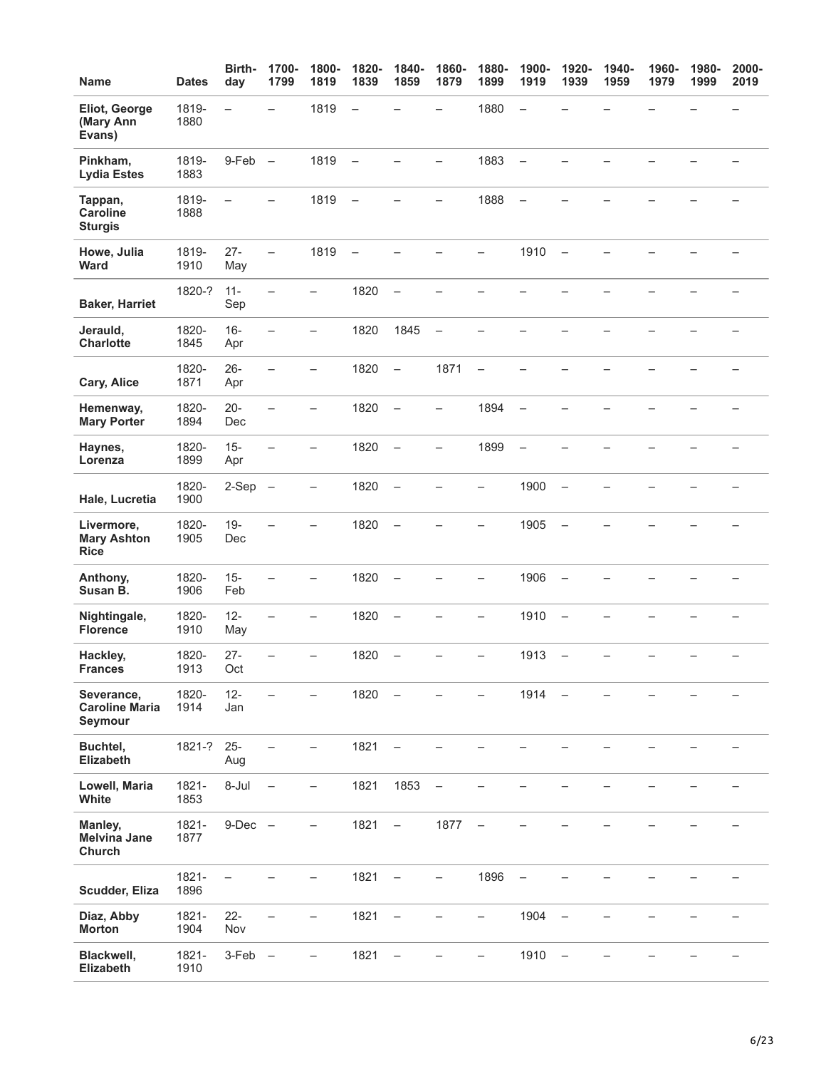| <b>Name</b>                                     | <b>Dates</b>  | Birth-<br>day            | 1700-<br>1799            | 1800-<br>1819            | 1820-<br>1839            | 1840-<br>1859            | 1860-<br>1879            | 1880-<br>1899            | 1900-<br>1919            | 1920-<br>1939            | 1940-<br>1959 | 1960-<br>1979 | 1980-<br>1999 | 2000-<br>2019 |
|-------------------------------------------------|---------------|--------------------------|--------------------------|--------------------------|--------------------------|--------------------------|--------------------------|--------------------------|--------------------------|--------------------------|---------------|---------------|---------------|---------------|
| Eliot, George<br>(Mary Ann<br>Evans)            | 1819-<br>1880 | $\overline{\phantom{0}}$ |                          | 1819                     | $\overline{\phantom{0}}$ |                          |                          | 1880                     | $\overline{\phantom{0}}$ |                          |               |               |               |               |
| Pinkham,<br><b>Lydia Estes</b>                  | 1819-<br>1883 | 9-Feb                    | $\qquad \qquad -$        | 1819                     | $\equiv$                 |                          |                          | 1883                     | $\overline{\phantom{m}}$ |                          |               |               |               |               |
| Tappan,<br><b>Caroline</b><br><b>Sturgis</b>    | 1819-<br>1888 | $\overline{\phantom{0}}$ |                          | 1819                     | $\overline{\phantom{a}}$ |                          |                          | 1888                     | $\overline{\phantom{0}}$ |                          |               |               |               |               |
| Howe, Julia<br>Ward                             | 1819-<br>1910 | $27 -$<br>May            | $\qquad \qquad -$        | 1819                     | $\overline{\phantom{0}}$ |                          |                          |                          | 1910                     | $\overline{\phantom{0}}$ |               |               |               |               |
| <b>Baker, Harriet</b>                           | 1820-?        | $11 -$<br>Sep            | $\overline{\phantom{0}}$ | -                        | 1820                     | $\overline{\phantom{0}}$ |                          |                          |                          |                          |               |               |               |               |
| Jerauld,<br><b>Charlotte</b>                    | 1820-<br>1845 | $16 -$<br>Apr            | $\overline{\phantom{0}}$ | $\overline{\phantom{0}}$ | 1820                     | 1845                     | $\overline{\phantom{0}}$ |                          |                          |                          |               |               |               |               |
| Cary, Alice                                     | 1820-<br>1871 | $26 -$<br>Apr            |                          |                          | 1820                     | $\overline{\phantom{a}}$ | 1871                     | $\overline{\phantom{0}}$ |                          |                          |               |               |               |               |
| Hemenway,<br><b>Mary Porter</b>                 | 1820-<br>1894 | $20 -$<br>Dec            | $\overline{\phantom{0}}$ | -                        | 1820                     | $\frac{1}{2}$            | $\overline{\phantom{0}}$ | 1894                     | $\overline{\phantom{0}}$ |                          |               |               |               |               |
| Haynes,<br>Lorenza                              | 1820-<br>1899 | $15 -$<br>Apr            | $\overline{\phantom{0}}$ | —                        | 1820                     | $\overline{\phantom{0}}$ | -                        | 1899                     | $\overline{\phantom{0}}$ |                          |               |               |               |               |
| Hale, Lucretia                                  | 1820-<br>1900 | $2-Sep -$                |                          | -                        | 1820                     | $\overline{\phantom{0}}$ |                          | -                        | 1900                     | $\overline{\phantom{0}}$ |               |               |               |               |
| Livermore,<br><b>Mary Ashton</b><br><b>Rice</b> | 1820-<br>1905 | $19 -$<br>Dec            |                          |                          | 1820                     | $\overline{\phantom{a}}$ |                          |                          | 1905                     |                          |               |               |               |               |
| Anthony,<br>Susan B.                            | 1820-<br>1906 | $15 -$<br>Feb            | $\overline{\phantom{0}}$ | $\overline{\phantom{0}}$ | 1820                     | $\overline{\phantom{m}}$ |                          | -                        | 1906                     | $\overline{\phantom{0}}$ |               |               |               |               |
| Nightingale,<br><b>Florence</b>                 | 1820-<br>1910 | $12 -$<br>May            | $\overline{\phantom{0}}$ | -                        | 1820                     | $\qquad \qquad -$        |                          | -                        | 1910                     | $\overline{\phantom{0}}$ |               |               |               |               |
| Hackley,<br><b>Frances</b>                      | 1820-<br>1913 | $27 -$<br>Oct            | $\overline{\phantom{0}}$ | $\overline{\phantom{0}}$ | 1820                     | $\overline{\phantom{0}}$ |                          | $\overline{\phantom{0}}$ | 1913                     | $\overline{\phantom{0}}$ |               |               |               |               |
| Severance,<br><b>Caroline Maria</b><br>Seymour  | 1820-<br>1914 | $12 -$<br>Jan            |                          |                          | 1820                     | $\overline{\phantom{m}}$ |                          |                          | 1914                     | $\overline{\phantom{m}}$ |               |               |               |               |
| Buchtel,<br>Elizabeth                           | 1821-?        | $25 -$<br>Aug            |                          |                          | 1821                     |                          |                          |                          |                          |                          |               |               |               |               |
| Lowell, Maria<br>White                          | 1821-<br>1853 | 8-Jul                    | $\qquad \qquad -$        | —                        | 1821                     | 1853                     | $\qquad \qquad -$        |                          |                          |                          |               |               |               |               |
| Manley,<br><b>Melvina Jane</b><br>Church        | 1821-<br>1877 | $9-Dec$ $-$              |                          |                          | 1821                     | $\overline{\phantom{m}}$ | 1877                     |                          |                          |                          |               |               |               |               |
| Scudder, Eliza                                  | 1821-<br>1896 | $\qquad \qquad -$        |                          | —                        | 1821                     | $\qquad \qquad -$        | $\overline{\phantom{0}}$ | 1896                     | $\qquad \qquad -$        |                          |               |               |               |               |
| Diaz, Abby<br><b>Morton</b>                     | 1821-<br>1904 | $22 -$<br>Nov            |                          | -                        | 1821                     | $\qquad \qquad -$        |                          | $\overline{\phantom{0}}$ | 1904                     | $\overline{\phantom{0}}$ |               |               |               |               |
| Blackwell,<br>Elizabeth                         | 1821-<br>1910 | 3-Feb                    | $\qquad \qquad -$        | —                        | 1821                     | $\overline{\phantom{0}}$ |                          |                          | 1910                     | $\overline{\phantom{0}}$ |               |               |               |               |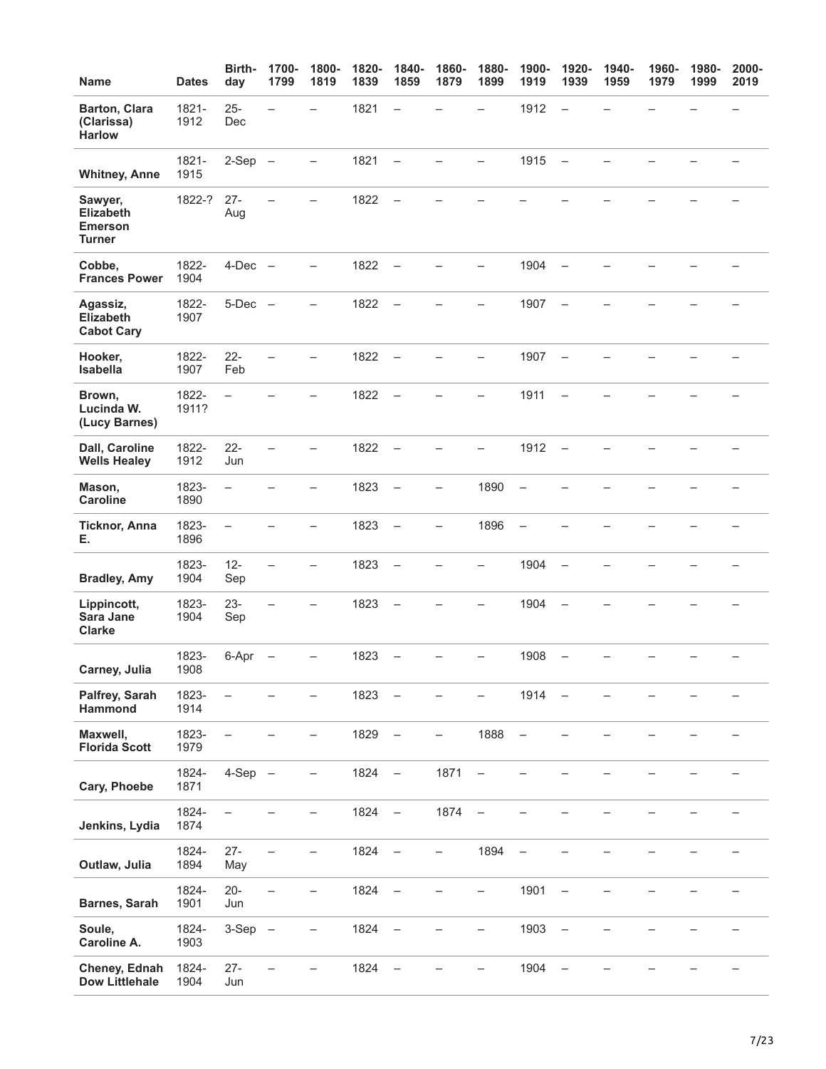| Name                                                           | <b>Dates</b>   | Birth-<br>day            | 1700-<br>1799            | 1800-<br>1819            | 1820-<br>1839 | 1840-<br>1859            | 1860-<br>1879 | 1880-<br>1899            | 1900-<br>1919            | 1920-<br>1939            | 1940-<br>1959 | 1960-<br>1979 | 1980-<br>1999 | 2000-<br>2019 |
|----------------------------------------------------------------|----------------|--------------------------|--------------------------|--------------------------|---------------|--------------------------|---------------|--------------------------|--------------------------|--------------------------|---------------|---------------|---------------|---------------|
| Barton, Clara<br>(Clarissa)<br><b>Harlow</b>                   | 1821-<br>1912  | $25 -$<br>Dec            | $\overline{\phantom{0}}$ | $\overline{\phantom{0}}$ | 1821          | $\rightarrow$            |               | $\overline{\phantom{0}}$ | 1912                     | $\overline{\phantom{0}}$ |               |               |               |               |
| <b>Whitney, Anne</b>                                           | 1821-<br>1915  | $2-Sep -$                |                          |                          | 1821          | $\overline{\phantom{0}}$ |               |                          | 1915                     | $\overline{\phantom{0}}$ |               |               |               |               |
| Sawyer,<br><b>Elizabeth</b><br><b>Emerson</b><br><b>Turner</b> | 1822-?         | $27 -$<br>Aug            |                          |                          | 1822          | $\overline{\phantom{0}}$ |               |                          |                          |                          |               |               |               |               |
| Cobbe,<br><b>Frances Power</b>                                 | 1822-<br>1904  | $4-Dec$ $-$              |                          |                          | 1822          | $\overline{\phantom{0}}$ |               |                          | 1904                     |                          |               |               |               |               |
| Agassiz,<br><b>Elizabeth</b><br><b>Cabot Cary</b>              | 1822-<br>1907  | $5-Dec$ $-$              |                          |                          | 1822          | $\overline{\phantom{0}}$ |               |                          | 1907                     |                          |               |               |               |               |
| Hooker,<br>Isabella                                            | 1822-<br>1907  | $22 -$<br>Feb            |                          |                          | 1822          | $\equiv$                 |               | $\overline{\phantom{0}}$ | 1907                     | $\overline{\phantom{0}}$ |               |               |               |               |
| Brown,<br>Lucinda W.<br>(Lucy Barnes)                          | 1822-<br>1911? | $\overline{\phantom{0}}$ |                          |                          | 1822          | $\overline{\phantom{0}}$ |               |                          | 1911                     | $\overline{\phantom{0}}$ |               |               |               |               |
| Dall, Caroline<br><b>Wells Healey</b>                          | 1822-<br>1912  | $22 -$<br>Jun            |                          |                          | 1822          | $\overline{\phantom{0}}$ |               |                          | 1912                     | $\overline{\phantom{0}}$ |               |               |               |               |
| Mason,<br><b>Caroline</b>                                      | 1823-<br>1890  | $\qquad \qquad -$        |                          |                          | 1823          | $\overline{\phantom{0}}$ | —             | 1890                     | $\overline{\phantom{a}}$ |                          |               |               |               |               |
| <b>Ticknor, Anna</b><br>Е.                                     | 1823-<br>1896  | $\overline{\phantom{0}}$ |                          | ▃                        | 1823          | $\overline{\phantom{0}}$ | —             | 1896                     | $\qquad \qquad -$        |                          |               |               |               |               |
| <b>Bradley, Amy</b>                                            | 1823-<br>1904  | $12 -$<br>Sep            |                          |                          | 1823          | $\overline{\phantom{a}}$ |               |                          | 1904                     | $\overline{\phantom{0}}$ |               |               |               |               |
| Lippincott,<br>Sara Jane<br><b>Clarke</b>                      | 1823-<br>1904  | $23 -$<br>Sep            |                          |                          | 1823          |                          |               |                          | 1904                     |                          |               |               |               |               |
| Carney, Julia                                                  | 1823-<br>1908  | 6-Apr                    | $\overline{\phantom{0}}$ | $\overline{\phantom{0}}$ | 1823          | $\qquad \qquad -$        |               | $\overline{\phantom{0}}$ | 1908                     | $\qquad \qquad -$        |               |               |               |               |
| Palfrey, Sarah<br>Hammond                                      | 1823-<br>1914  |                          |                          |                          | 1823          | $\qquad \qquad -$        |               |                          | 1914                     | $\overline{\phantom{0}}$ |               |               |               |               |
| Maxwell,<br><b>Florida Scott</b>                               | 1823-<br>1979  |                          |                          | -                        | 1829          | $\overline{\phantom{m}}$ | -             | 1888                     | $\overline{\phantom{a}}$ |                          |               |               |               |               |
| Cary, Phoebe                                                   | 1824-<br>1871  | $4-Sep -$                |                          | -                        | 1824          | $\equiv$                 | 1871          | $\qquad \qquad -$        |                          |                          |               |               |               |               |
| Jenkins, Lydia                                                 | 1824-<br>1874  | $\overline{\phantom{0}}$ |                          | —                        | 1824          | $\overline{\phantom{a}}$ | 1874          | $\overline{\phantom{a}}$ |                          |                          |               |               |               |               |
| Outlaw, Julia                                                  | 1824-<br>1894  | $27 -$<br>May            | $\overline{\phantom{0}}$ | -                        | 1824          | $\overline{\phantom{a}}$ | -             | 1894                     | $\overline{\phantom{a}}$ |                          |               |               |               |               |
| Barnes, Sarah                                                  | 1824-<br>1901  | $20 -$<br>Jun            | $\overline{\phantom{0}}$ | $\overline{\phantom{0}}$ | 1824          | $\overline{\phantom{0}}$ |               | -                        | 1901                     | $\overline{\phantom{0}}$ |               |               |               |               |
| Soule,<br>Caroline A.                                          | 1824-<br>1903  | $3-Sep -$                |                          | -                        | 1824          | $\qquad \qquad -$        |               | -                        | 1903                     | $\overline{\phantom{0}}$ |               |               |               |               |
| Cheney, Ednah<br><b>Dow Littlehale</b>                         | 1824-<br>1904  | $27 -$<br>Jun            |                          | $\overline{\phantom{0}}$ | 1824          |                          |               |                          | 1904                     |                          |               |               |               |               |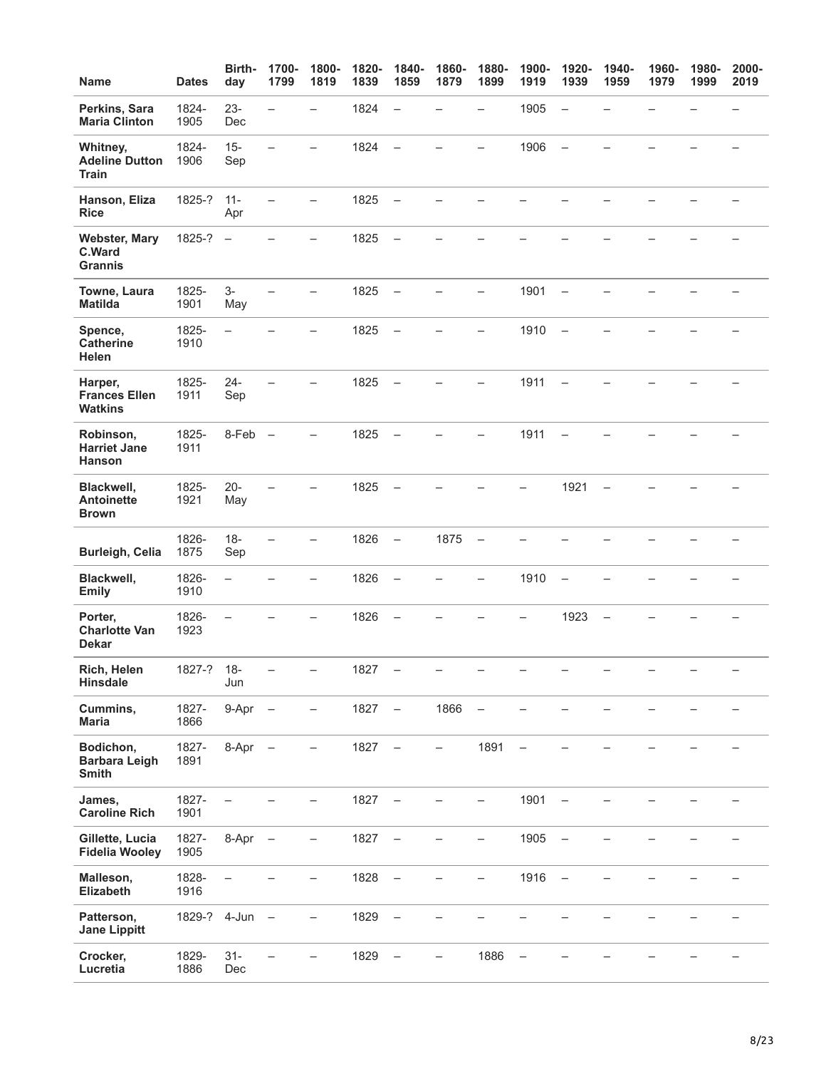| <b>Name</b>                                       | <b>Dates</b>  | Birth-<br>day            | 1700-<br>1799            | 1800-<br>1819            | 1820-<br>1839 | 1840-<br>1859            | 1860-<br>1879            | 1880-<br>1899            | 1900-<br>1919            | 1920-<br>1939            | 1940-<br>1959            | 1960-<br>1979 | 1980-<br>1999 | 2000-<br>2019            |
|---------------------------------------------------|---------------|--------------------------|--------------------------|--------------------------|---------------|--------------------------|--------------------------|--------------------------|--------------------------|--------------------------|--------------------------|---------------|---------------|--------------------------|
| Perkins, Sara<br><b>Maria Clinton</b>             | 1824-<br>1905 | $23 -$<br>Dec            | $\overline{\phantom{0}}$ | $\equiv$                 | 1824          | $\overline{\phantom{m}}$ |                          | $\overline{\phantom{0}}$ | 1905                     | $\overline{\phantom{0}}$ |                          |               |               |                          |
| Whitney,<br><b>Adeline Dutton</b><br><b>Train</b> | 1824-<br>1906 | $15 -$<br>Sep            | $\equiv$                 |                          | 1824          | $\overline{\phantom{m}}$ |                          |                          | 1906                     | $\overline{\phantom{0}}$ |                          |               |               |                          |
| Hanson, Eliza<br><b>Rice</b>                      | 1825-?        | $11 -$<br>Apr            |                          |                          | 1825          | $\overline{\phantom{0}}$ |                          |                          |                          |                          |                          |               |               |                          |
| <b>Webster, Mary</b><br>C.Ward<br><b>Grannis</b>  | 1825-?        | $\overline{\phantom{0}}$ |                          | L.                       | 1825          | $\overline{\phantom{0}}$ |                          |                          |                          |                          |                          |               |               |                          |
| Towne, Laura<br><b>Matilda</b>                    | 1825-<br>1901 | $3-$<br>May              |                          | $\overline{\phantom{0}}$ | 1825          | $\overline{\phantom{a}}$ |                          | $\overline{\phantom{0}}$ | 1901                     | $\overline{\phantom{0}}$ |                          |               |               | $\overline{\phantom{0}}$ |
| Spence,<br><b>Catherine</b><br><b>Helen</b>       | 1825-<br>1910 | $\qquad \qquad -$        |                          | -                        | 1825          | $\overline{\phantom{m}}$ |                          | —                        | 1910                     | $\overline{\phantom{0}}$ |                          |               |               |                          |
| Harper,<br><b>Frances Ellen</b><br><b>Watkins</b> | 1825-<br>1911 | $24 -$<br>Sep            |                          |                          | 1825          | $\overline{\phantom{m}}$ |                          |                          | 1911                     | $\overline{\phantom{0}}$ |                          |               |               |                          |
| Robinson,<br><b>Harriet Jane</b><br><b>Hanson</b> | 1825-<br>1911 | $8-Feb$ $-$              |                          |                          | 1825          | $\overline{\phantom{a}}$ |                          |                          | 1911                     | $\overline{\phantom{0}}$ |                          |               |               |                          |
| Blackwell,<br><b>Antoinette</b><br><b>Brown</b>   | 1825-<br>1921 | $20 -$<br>May            |                          |                          | 1825          | $\overline{\phantom{a}}$ |                          |                          | $\overline{\phantom{0}}$ | 1921                     | $\overline{\phantom{0}}$ |               |               |                          |
| <b>Burleigh, Celia</b>                            | 1826-<br>1875 | $18 -$<br>Sep            | $\overline{\phantom{0}}$ | $\overline{\phantom{0}}$ | 1826          | $\overline{\phantom{m}}$ | 1875                     | $\overline{\phantom{a}}$ |                          |                          |                          |               |               |                          |
| Blackwell,<br><b>Emily</b>                        | 1826-<br>1910 | $\equiv$                 |                          |                          | 1826          | $\overline{\phantom{0}}$ |                          |                          | 1910                     | $\overline{\phantom{0}}$ |                          |               |               |                          |
| Porter,<br><b>Charlotte Van</b><br><b>Dekar</b>   | 1826-<br>1923 | $\overline{\phantom{0}}$ |                          |                          | 1826          | $\overline{\phantom{m}}$ |                          |                          |                          | 1923                     | $\overline{\phantom{0}}$ |               |               |                          |
| Rich, Helen<br>Hinsdale                           | 1827-?        | $18 -$<br>Jun            |                          | $\qquad \qquad -$        | 1827          | $\qquad \qquad -$        |                          |                          |                          |                          |                          |               |               | $\qquad \qquad -$        |
| Cummins,<br><b>Maria</b>                          | 1827-<br>1866 | 9-Apr                    | $\overline{\phantom{0}}$ | —                        | 1827          | $\overline{\phantom{m}}$ | 1866                     | $\qquad \qquad -$        |                          |                          |                          |               |               |                          |
| Bodichon,<br><b>Barbara Leigh</b><br><b>Smith</b> | 1827-<br>1891 | 8-Apr                    |                          | —                        | 1827          | $\overline{\phantom{m}}$ | $\overline{\phantom{0}}$ | 1891                     | $\qquad \qquad -$        |                          |                          |               |               |                          |
| James,<br><b>Caroline Rich</b>                    | 1827-<br>1901 |                          |                          | —                        | 1827          | $\overline{\phantom{a}}$ |                          | -                        | 1901                     | $\overline{\phantom{0}}$ |                          |               |               |                          |
| Gillette, Lucia<br><b>Fidelia Wooley</b>          | 1827-<br>1905 | 8-Apr                    | $\overline{\phantom{0}}$ |                          | 1827          |                          |                          |                          | 1905                     |                          |                          |               |               |                          |
| Malleson,<br>Elizabeth                            | 1828-<br>1916 |                          |                          | $\overline{\phantom{0}}$ | 1828          | $\overline{\phantom{m}}$ |                          | -                        | 1916                     | $\overline{\phantom{a}}$ |                          |               |               |                          |
| Patterson,<br><b>Jane Lippitt</b>                 | 1829-? 4-Jun  |                          | $\overline{\phantom{m}}$ | $\overline{\phantom{0}}$ | 1829          | $\qquad \qquad -$        |                          |                          |                          |                          |                          |               |               |                          |
| Crocker,<br>Lucretia                              | 1829-<br>1886 | $31 -$<br>Dec            |                          |                          | 1829          | $\overline{\phantom{m}}$ | $\overline{\phantom{0}}$ | 1886                     | $\overline{\phantom{m}}$ |                          |                          |               |               |                          |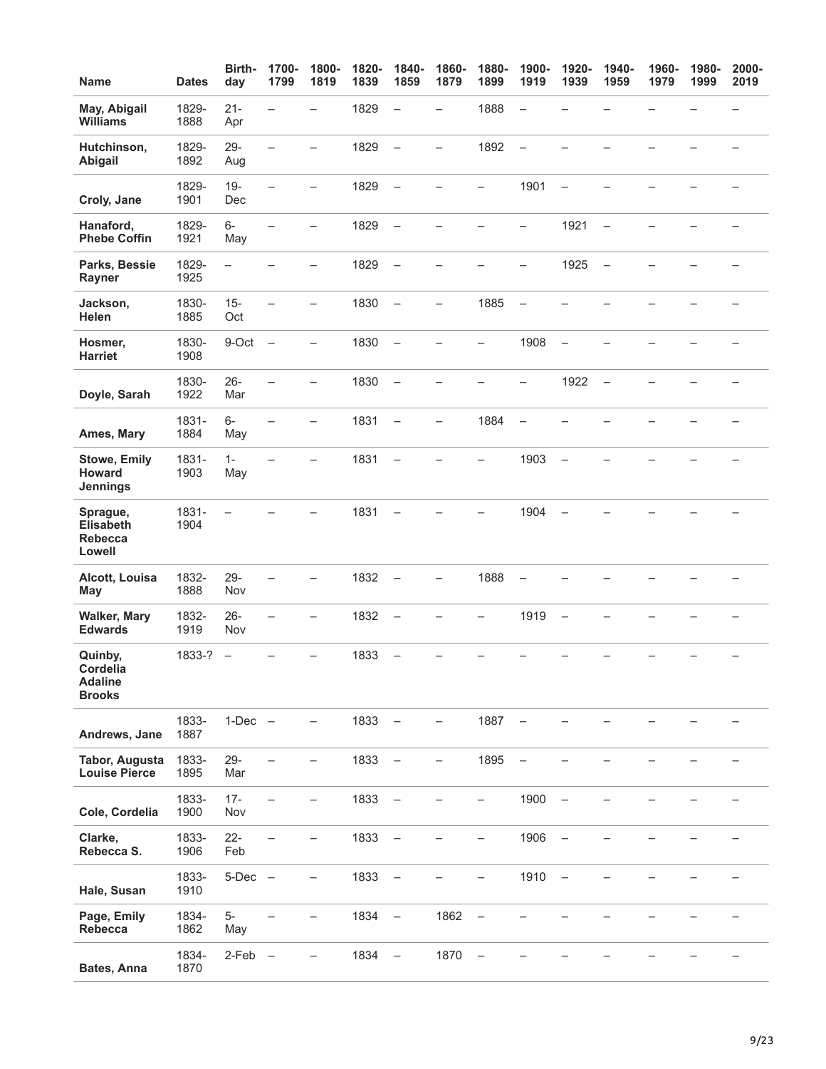| <b>Name</b>                                            | <b>Dates</b>  | Birth-<br>day            | 1700-<br>1799            | 1800-<br>1819            | 1820-<br>1839 | 1840-<br>1859            | 1860-<br>1879            | 1880-<br>1899            | 1900-<br>1919            | 1920-<br>1939            | 1940-<br>1959            | 1960-<br>1979 | 1980-<br>1999 | 2000-<br>2019 |
|--------------------------------------------------------|---------------|--------------------------|--------------------------|--------------------------|---------------|--------------------------|--------------------------|--------------------------|--------------------------|--------------------------|--------------------------|---------------|---------------|---------------|
| May, Abigail<br><b>Williams</b>                        | 1829-<br>1888 | $21 -$<br>Apr            | $\overline{\phantom{0}}$ |                          | 1829          | $\overline{\phantom{0}}$ | $\overline{\phantom{0}}$ | 1888                     | $\overline{\phantom{0}}$ |                          |                          |               |               |               |
| Hutchinson,<br>Abigail                                 | 1829-<br>1892 | 29-<br>Aug               | $\overline{\phantom{0}}$ | $\overline{\phantom{0}}$ | 1829          | $\equiv$                 | $\overline{\phantom{0}}$ | 1892                     | $\overline{\phantom{0}}$ |                          |                          |               |               |               |
| Croly, Jane                                            | 1829-<br>1901 | $19 -$<br>Dec            | -                        | —                        | 1829          | $\overline{\phantom{0}}$ |                          | -                        | 1901                     | $\overline{\phantom{0}}$ |                          |               |               |               |
| Hanaford,<br><b>Phebe Coffin</b>                       | 1829-<br>1921 | $6-$<br>May              |                          |                          | 1829          | $\overline{\phantom{0}}$ |                          |                          | -                        | 1921                     | $\overline{\phantom{0}}$ |               |               |               |
| Parks, Bessie<br>Rayner                                | 1829-<br>1925 | $\overline{\phantom{0}}$ |                          |                          | 1829          | $\overline{\phantom{0}}$ |                          |                          |                          | 1925                     | $\overline{\phantom{0}}$ |               |               |               |
| Jackson,<br>Helen                                      | 1830-<br>1885 | $15 -$<br>Oct            |                          |                          | 1830          | $\overline{\phantom{a}}$ | ÷.                       | 1885                     | $\overline{\phantom{0}}$ |                          |                          |               |               |               |
| Hosmer,<br><b>Harriet</b>                              | 1830-<br>1908 | 9-Oct                    | $\overline{\phantom{0}}$ | -                        | 1830          | $\overline{\phantom{0}}$ |                          | —                        | 1908                     | $\overline{\phantom{0}}$ |                          |               |               |               |
| Doyle, Sarah                                           | 1830-<br>1922 | $26 -$<br>Mar            |                          |                          | 1830          | $\overline{\phantom{0}}$ |                          |                          | -                        | 1922                     | $\overline{\phantom{0}}$ |               |               |               |
| Ames, Mary                                             | 1831-<br>1884 | $6-$<br>May              | $\overline{\phantom{0}}$ | -                        | 1831          | $\overline{\phantom{0}}$ | $\overline{\phantom{0}}$ | 1884                     | $\qquad \qquad -$        |                          |                          |               |               |               |
| <b>Stowe, Emily</b><br>Howard<br>Jennings              | 1831-<br>1903 | $1 -$<br>May             | $\overline{\phantom{0}}$ | $\overline{\phantom{0}}$ | 1831          | $\overline{\phantom{0}}$ |                          | —                        | 1903                     | $\overline{\phantom{0}}$ |                          |               |               |               |
| Sprague,<br><b>Elisabeth</b><br>Rebecca<br>Lowell      | 1831-<br>1904 |                          |                          |                          | 1831          | $\overline{\phantom{0}}$ |                          |                          | 1904                     | $\overline{\phantom{0}}$ |                          |               |               |               |
| Alcott, Louisa<br><b>May</b>                           | 1832-<br>1888 | 29-<br>Nov               |                          |                          | 1832          | $\overline{\phantom{0}}$ | —                        | 1888                     |                          |                          |                          |               |               |               |
| <b>Walker, Mary</b><br><b>Edwards</b>                  | 1832-<br>1919 | $26 -$<br>Nov            |                          |                          | 1832          | $\overline{\phantom{0}}$ |                          |                          | 1919                     | $\overline{\phantom{0}}$ |                          |               |               |               |
| Quinby,<br>Cordelia<br><b>Adaline</b><br><b>Brooks</b> | 1833-?        | $\overline{\phantom{0}}$ |                          | —                        | 1833          | $\overline{\phantom{0}}$ |                          |                          |                          |                          |                          |               |               |               |
| Andrews, Jane                                          | 1833-<br>1887 | $1-Dec$ $-$              |                          | —                        | 1833          | $\overline{\phantom{a}}$ | -                        | 1887                     | $\overline{\phantom{m}}$ |                          |                          |               |               |               |
| <b>Tabor, Augusta</b><br><b>Louise Pierce</b>          | 1833-<br>1895 | $29 -$<br>Mar            |                          | -                        | 1833          | $\qquad \qquad -$        | -                        | 1895                     | $\overline{\phantom{0}}$ |                          |                          |               |               |               |
| Cole, Cordelia                                         | 1833-<br>1900 | $17 -$<br>Nov            |                          | —                        | 1833          | $\overline{\phantom{0}}$ | -                        | -                        | 1900                     | $\overline{\phantom{0}}$ |                          |               |               |               |
| Clarke,<br>Rebecca S.                                  | 1833-<br>1906 | $22 -$<br>Feb            |                          |                          | 1833          | $\overline{\phantom{m}}$ |                          |                          | 1906                     | $\overline{\phantom{0}}$ |                          |               |               |               |
| Hale, Susan                                            | 1833-<br>1910 | $5-Dec$ $-$              |                          |                          | 1833          | $\overline{\phantom{0}}$ |                          |                          | 1910                     | $\qquad \qquad -$        |                          |               |               |               |
| Page, Emily<br>Rebecca                                 | 1834-<br>1862 | $5-$<br>May              |                          | $\overline{\phantom{0}}$ | 1834          | $\equiv$                 | 1862                     | $\overline{\phantom{m}}$ |                          |                          |                          |               |               |               |
| Bates, Anna                                            | 1834-<br>1870 | 2-Feb                    | $\qquad \qquad -$        | -                        | 1834          | $\qquad \qquad -$        | 1870                     | $\qquad \qquad -$        |                          |                          |                          |               |               |               |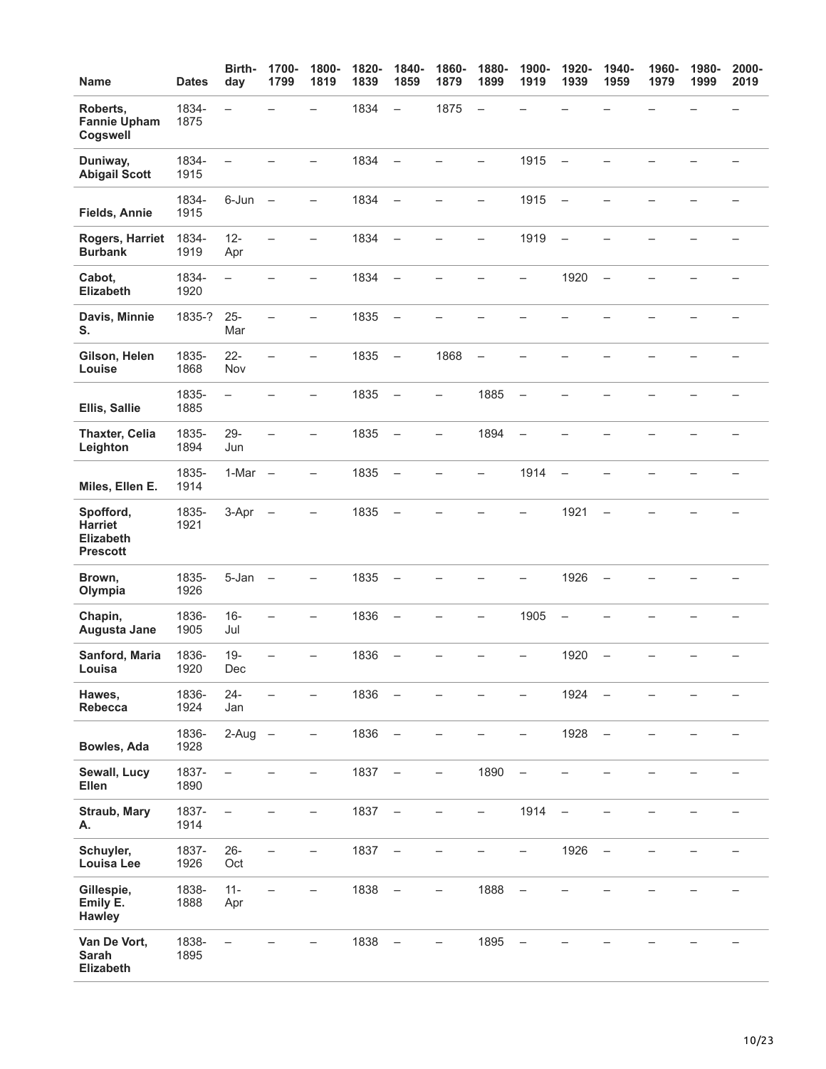| <b>Name</b>                                                        | <b>Dates</b>  | Birth-<br>day            | 1700-<br>1799            | 1800-<br>1819            | 1820-<br>1839 | 1840-<br>1859            | 1860-<br>1879            | 1880-<br>1899            | 1900-<br>1919            | 1920-<br>1939            | 1940-<br>1959            | 1960-<br>1979 | 1980-<br>1999 | 2000-<br>2019 |
|--------------------------------------------------------------------|---------------|--------------------------|--------------------------|--------------------------|---------------|--------------------------|--------------------------|--------------------------|--------------------------|--------------------------|--------------------------|---------------|---------------|---------------|
| Roberts,<br><b>Fannie Upham</b><br>Cogswell                        | 1834-<br>1875 | -                        |                          |                          | 1834          | $\qquad \qquad -$        | 1875                     | $\overline{\phantom{0}}$ |                          |                          |                          |               |               |               |
| Duniway,<br><b>Abigail Scott</b>                                   | 1834-<br>1915 | $\overline{\phantom{0}}$ |                          |                          | 1834          | $\overline{\phantom{0}}$ |                          |                          | 1915                     | $\overline{\phantom{0}}$ |                          |               |               |               |
| Fields, Annie                                                      | 1834-<br>1915 | 6-Jun                    | $\overline{\phantom{0}}$ | $\overline{\phantom{0}}$ | 1834          | $\overline{\phantom{m}}$ |                          |                          | 1915                     | $\overline{\phantom{m}}$ |                          |               |               |               |
| Rogers, Harriet<br><b>Burbank</b>                                  | 1834-<br>1919 | $12 -$<br>Apr            | $\overline{\phantom{0}}$ | $\overline{\phantom{0}}$ | 1834          | $\overline{\phantom{0}}$ |                          | $\overline{\phantom{0}}$ | 1919                     | $\overline{\phantom{0}}$ |                          |               |               |               |
| Cabot,<br><b>Elizabeth</b>                                         | 1834-<br>1920 | $\overline{\phantom{0}}$ |                          | ▃                        | 1834          | $\frac{1}{2}$            |                          |                          | $\overline{\phantom{0}}$ | 1920                     | $\overline{\phantom{0}}$ |               |               |               |
| Davis, Minnie<br>S.                                                | 1835-?        | $25 -$<br>Mar            | $\overline{\phantom{0}}$ | -                        | 1835          | $\overline{\phantom{0}}$ |                          |                          |                          |                          |                          |               |               |               |
| Gilson, Helen<br>Louise                                            | 1835-<br>1868 | $22 -$<br>Nov            |                          | $\overline{\phantom{0}}$ | 1835          | $\overline{\phantom{0}}$ | 1868                     | $\overline{\phantom{0}}$ |                          |                          |                          |               |               |               |
| Ellis, Sallie                                                      | 1835-<br>1885 | $\overline{\phantom{0}}$ |                          | $\overline{\phantom{0}}$ | 1835          | $\overline{\phantom{m}}$ | $\equiv$                 | 1885                     | $\overline{\phantom{0}}$ |                          |                          |               |               |               |
| <b>Thaxter, Celia</b><br>Leighton                                  | 1835-<br>1894 | $29 -$<br>Jun            |                          | $\overline{\phantom{0}}$ | 1835          | $\overline{\phantom{m}}$ | $\overline{\phantom{0}}$ | 1894                     | $\overline{\phantom{0}}$ |                          |                          |               |               |               |
| Miles, Ellen E.                                                    | 1835-<br>1914 | 1-Mar                    | $\overline{\phantom{0}}$ | $\overline{\phantom{0}}$ | 1835          | $\qquad \qquad -$        |                          | -                        | 1914                     | $\overline{\phantom{0}}$ |                          |               |               |               |
| Spofford,<br><b>Harriet</b><br><b>Elizabeth</b><br><b>Prescott</b> | 1835-<br>1921 | 3-Apr                    |                          | ▃                        | 1835          | $\overline{\phantom{0}}$ |                          |                          | —                        | 1921                     | $\overline{\phantom{a}}$ |               |               |               |
| Brown,<br>Olympia                                                  | 1835-<br>1926 | 5-Jan                    | $\overline{\phantom{0}}$ | -                        | 1835          | $\overline{\phantom{0}}$ |                          |                          |                          | 1926                     | $\overline{\phantom{0}}$ |               |               |               |
| Chapin,<br>Augusta Jane                                            | 1836-<br>1905 | $16 -$<br>Jul            |                          |                          | 1836          | $\qquad \qquad -$        |                          |                          | 1905                     | $\overline{\phantom{0}}$ |                          |               |               |               |
| Sanford, Maria<br>Louisa                                           | 1836-<br>1920 | $19 -$<br>Dec            | $\overline{\phantom{0}}$ | $\overline{\phantom{0}}$ | 1836          | $\overline{\phantom{0}}$ |                          |                          | -                        | 1920                     | $\overline{\phantom{0}}$ |               |               |               |
| Hawes,<br>Rebecca                                                  | 1836-<br>1924 | $24 -$<br>Jan            |                          | $\overline{\phantom{0}}$ | 1836          | $\overline{\phantom{m}}$ |                          |                          |                          | 1924                     | $\qquad \qquad -$        |               |               |               |
| Bowles, Ada                                                        | 1836-<br>1928 | $2-Aug -$                |                          | —                        | 1836          | $\qquad \qquad -$        |                          |                          | -                        | 1928                     | $\qquad \qquad -$        |               |               |               |
| Sewall, Lucy<br>Ellen                                              | 1837-<br>1890 | $\overline{\phantom{0}}$ |                          | $\overline{\phantom{0}}$ | 1837          | $\overline{\phantom{m}}$ | $\overline{\phantom{0}}$ | 1890                     | $\overline{\phantom{0}}$ |                          |                          |               |               |               |
| <b>Straub, Mary</b><br>А.                                          | 1837-<br>1914 | $\qquad \qquad -$        |                          | $\overline{\phantom{0}}$ | 1837          | $\qquad \qquad -$        |                          | -                        | 1914                     | $\overline{\phantom{0}}$ |                          |               |               |               |
| Schuyler,<br><b>Louisa Lee</b>                                     | 1837-<br>1926 | $26 -$<br>Oct            | $\overline{\phantom{0}}$ | —                        | 1837          | $\overline{\phantom{m}}$ |                          |                          | -                        | 1926                     | $\qquad \qquad -$        |               |               |               |
| Gillespie,<br>Emily E.<br><b>Hawley</b>                            | 1838-<br>1888 | $11 -$<br>Apr            |                          |                          | 1838          |                          |                          | 1888                     |                          |                          |                          |               |               |               |
| Van De Vort,<br>Sarah<br>Elizabeth                                 | 1838-<br>1895 | $\overline{\phantom{0}}$ |                          |                          | 1838          |                          |                          | 1895                     | $\overline{\phantom{0}}$ |                          |                          |               |               |               |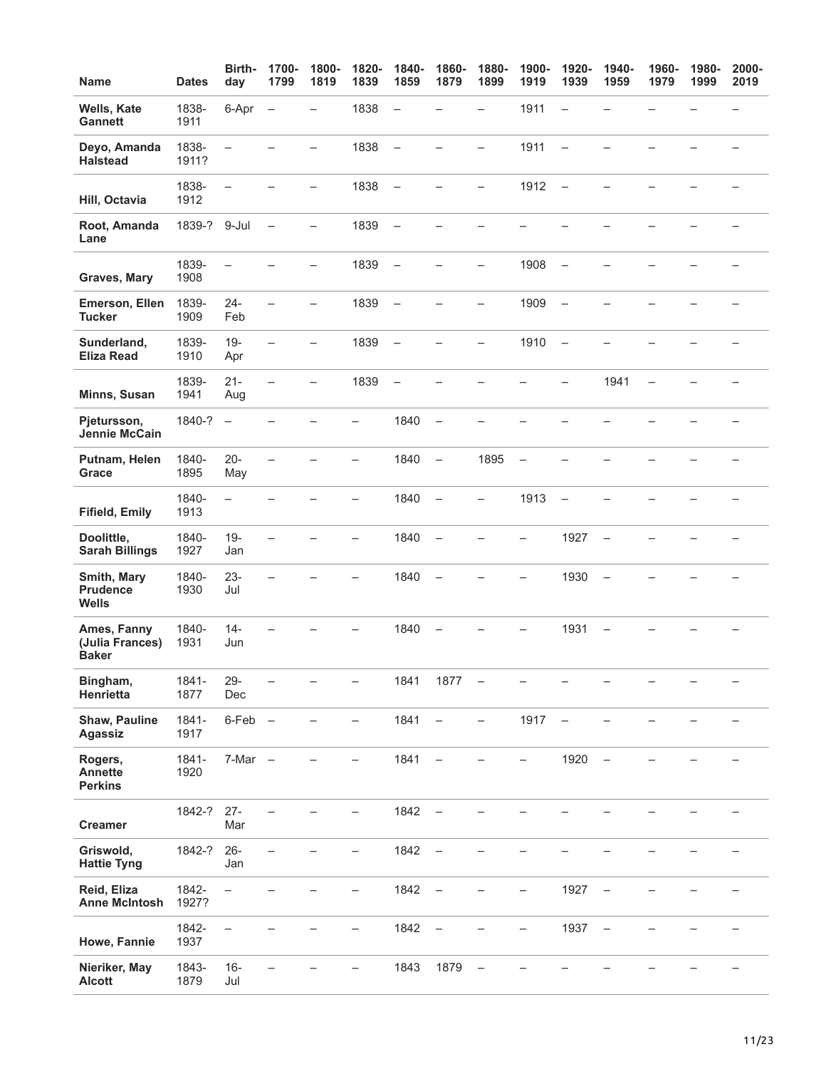| <b>Name</b>                                    | <b>Dates</b>     | Birth-<br>day            | 1700-<br>1799            | 1800-<br>1819            | 1820-<br>1839            | 1840-<br>1859            | 1860-<br>1879            | 1880-<br>1899            | 1900-<br>1919            | 1920-<br>1939            | 1940-<br>1959            | 1960-<br>1979            | 1980-<br>1999 | 2000-<br>2019 |
|------------------------------------------------|------------------|--------------------------|--------------------------|--------------------------|--------------------------|--------------------------|--------------------------|--------------------------|--------------------------|--------------------------|--------------------------|--------------------------|---------------|---------------|
| Wells, Kate<br><b>Gannett</b>                  | 1838-<br>1911    | 6-Apr                    | $\qquad \qquad -$        |                          | 1838                     | $\overline{\phantom{0}}$ |                          | $\overline{\phantom{0}}$ | 1911                     | $\overline{\phantom{0}}$ |                          |                          |               |               |
| Deyo, Amanda<br><b>Halstead</b>                | 1838-<br>1911?   | $\overline{\phantom{0}}$ |                          |                          | 1838                     | $\frac{1}{2}$            | $\overline{\phantom{0}}$ | $\overline{\phantom{0}}$ | 1911                     | $\overline{\phantom{0}}$ |                          |                          |               |               |
| Hill, Octavia                                  | 1838-<br>1912    | $\overline{\phantom{0}}$ |                          | $\overline{\phantom{0}}$ | 1838                     | $\overline{\phantom{0}}$ |                          | -                        | 1912                     | $\overline{\phantom{0}}$ |                          |                          |               |               |
| Root, Amanda<br>Lane                           | 1839-? 9-Jul     |                          | $\qquad \qquad -$        | -                        | 1839                     | $\overline{\phantom{0}}$ |                          |                          |                          |                          |                          |                          |               |               |
| Graves, Mary                                   | 1839-<br>1908    | $\overline{\phantom{0}}$ |                          |                          | 1839                     | $\overline{\phantom{0}}$ |                          |                          | 1908                     |                          |                          |                          |               |               |
| Emerson, Ellen<br><b>Tucker</b>                | 1839-<br>1909    | $24 -$<br>Feb            |                          |                          | 1839                     | $\overline{\phantom{a}}$ |                          |                          | 1909                     | $\overline{\phantom{0}}$ |                          |                          |               |               |
| Sunderland,<br><b>Eliza Read</b>               | 1839-<br>1910    | $19 -$<br>Apr            | $\overline{\phantom{0}}$ | $\overline{\phantom{0}}$ | 1839                     | $\equiv$                 |                          | $\overline{\phantom{0}}$ | 1910                     | $\equiv$                 |                          |                          |               |               |
| Minns, Susan                                   | 1839-<br>1941    | $21 -$<br>Aug            | $\overline{\phantom{0}}$ | -                        | 1839                     | $\overline{\phantom{0}}$ |                          |                          |                          | -                        | 1941                     | $\overline{\phantom{0}}$ |               |               |
| Pjetursson,<br>Jennie McCain                   | 1840-?           | $\overline{\phantom{0}}$ |                          |                          | —                        | 1840                     | $\qquad \qquad -$        |                          |                          |                          |                          |                          |               |               |
| Putnam, Helen<br>Grace                         | 1840-<br>1895    | $20 -$<br>May            |                          |                          | —                        | 1840                     | $\overline{\phantom{0}}$ | 1895                     | $\overline{\phantom{0}}$ |                          |                          |                          |               |               |
| <b>Fifield, Emily</b>                          | 1840-<br>1913    | $\equiv$                 |                          |                          | $\overline{\phantom{0}}$ | 1840                     | $\qquad \qquad -$        | -                        | 1913                     | $\overline{\phantom{0}}$ |                          |                          |               |               |
| Doolittle,<br><b>Sarah Billings</b>            | 1840-<br>1927    | $19 -$<br>Jan            |                          |                          | $\overline{\phantom{0}}$ | 1840                     | $\overline{\phantom{m}}$ |                          | $\overline{\phantom{0}}$ | 1927                     | $\overline{\phantom{0}}$ |                          |               |               |
| Smith, Mary<br><b>Prudence</b><br><b>Wells</b> | 1840-<br>1930    | $23 -$<br>Jul            |                          |                          |                          | 1840                     | $\rightarrow$            |                          | -                        | 1930                     | $\overline{\phantom{0}}$ |                          |               |               |
| Ames, Fanny<br>(Julia Frances)<br><b>Baker</b> | 1840-<br>1931    | $14 -$<br>Jun            |                          |                          |                          | 1840                     |                          |                          |                          | 1931                     |                          |                          |               |               |
| Bingham,<br>Henrietta                          | 1841-<br>1877    | $29 -$<br>Dec            | -                        |                          | —                        | 1841                     | 1877                     | $\qquad \qquad -$        |                          |                          |                          |                          |               | -             |
| <b>Shaw, Pauline</b><br><b>Agassiz</b>         | 1841-<br>1917    | $6-Feb$ $-$              |                          |                          | -                        | 1841                     | $\overline{\phantom{0}}$ | $\overline{\phantom{0}}$ | 1917                     | $\overline{\phantom{0}}$ |                          |                          |               |               |
| Rogers,<br><b>Annette</b><br><b>Perkins</b>    | $1841 -$<br>1920 | $7-Mar -$                |                          |                          |                          | 1841                     | $\overline{\phantom{0}}$ |                          |                          | 1920                     | $\overline{\phantom{0}}$ |                          |               |               |
| <b>Creamer</b>                                 | 1842-?           | $27 -$<br>Mar            |                          |                          | —                        | 1842                     | $\overline{\phantom{0}}$ |                          |                          |                          |                          |                          |               |               |
| Griswold,<br><b>Hattie Tyng</b>                | 1842-?           | $26 -$<br>Jan            | $\equiv$                 |                          | —                        | 1842                     | $\overline{\phantom{0}}$ |                          |                          |                          |                          |                          |               |               |
| Reid, Eliza<br><b>Anne McIntosh</b>            | 1842-<br>1927?   | $\qquad \qquad -$        |                          |                          | -                        | 1842                     | $\qquad \qquad -$        |                          | -                        | 1927                     | $\overline{\phantom{0}}$ |                          |               |               |
| Howe, Fannie                                   | 1842-<br>1937    | $\overline{\phantom{0}}$ |                          |                          |                          | 1842                     | $\overline{\phantom{0}}$ |                          | -                        | 1937                     | $\overline{\phantom{0}}$ |                          |               |               |
| Nieriker, May<br><b>Alcott</b>                 | 1843-<br>1879    | $16 -$<br>Jul            |                          |                          |                          | 1843                     | 1879                     | $\overline{\phantom{m}}$ |                          |                          |                          |                          |               |               |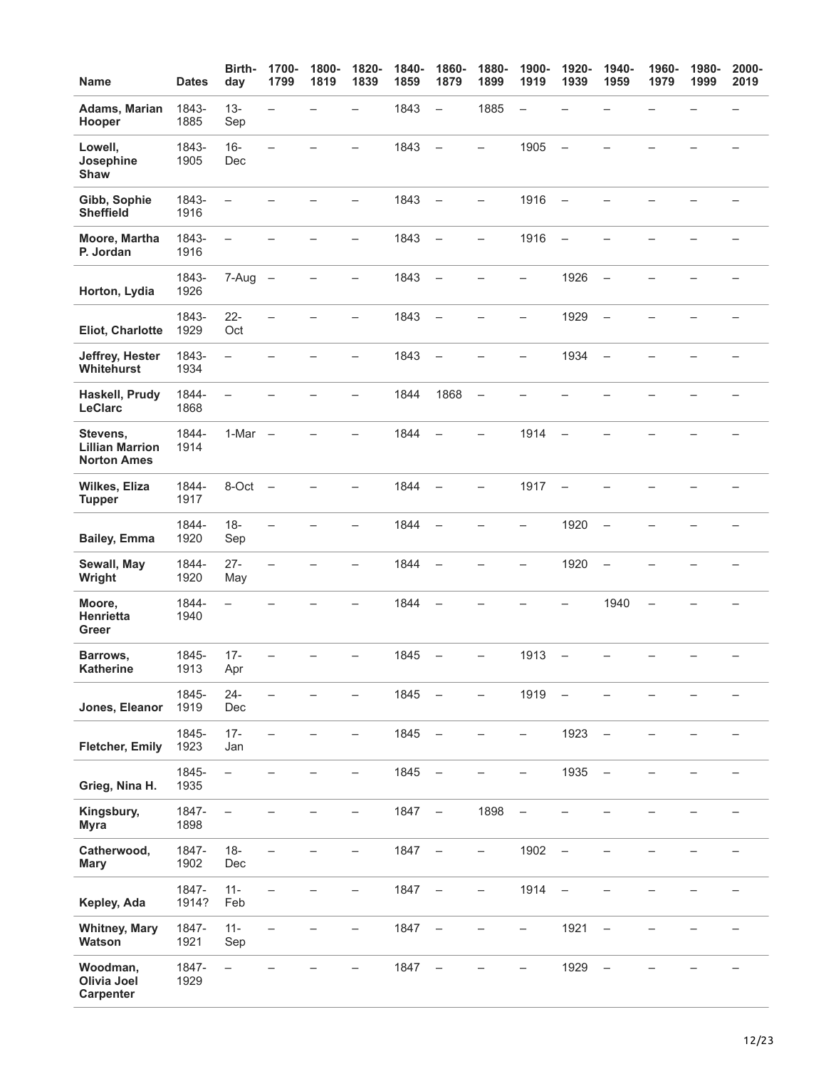| <b>Name</b>                                              | <b>Dates</b>   | Birth-<br>day            | 1700-<br>1799            | 1800-<br>1819 | 1820-<br>1839            | 1840-<br>1859 | 1860-<br>1879            | 1880-<br>1899            | 1900-<br>1919            | 1920-<br>1939            | 1940-<br>1959            | 1960-<br>1979 | 1980-<br>1999 | 2000-<br>2019            |
|----------------------------------------------------------|----------------|--------------------------|--------------------------|---------------|--------------------------|---------------|--------------------------|--------------------------|--------------------------|--------------------------|--------------------------|---------------|---------------|--------------------------|
| Adams, Marian<br>Hooper                                  | 1843-<br>1885  | $13 -$<br>Sep            | $\overline{\phantom{0}}$ |               | $\overline{\phantom{0}}$ | 1843          | $\qquad \qquad -$        | 1885                     | $\overline{\phantom{0}}$ |                          |                          |               |               |                          |
| Lowell,<br>Josephine<br>Shaw                             | 1843-<br>1905  | $16 -$<br>Dec            | $\overline{\phantom{0}}$ |               |                          | 1843          | $\overline{a}$           | $\overline{a}$           | 1905                     | $\overline{a}$           |                          |               |               |                          |
| Gibb, Sophie<br><b>Sheffield</b>                         | 1843-<br>1916  | $\overline{\phantom{0}}$ |                          |               |                          | 1843          | $\overline{\phantom{0}}$ | $\overline{\phantom{0}}$ | 1916                     | $\overline{\phantom{0}}$ |                          |               |               |                          |
| Moore, Martha<br>P. Jordan                               | 1843-<br>1916  | $\equiv$                 |                          |               | $\overline{\phantom{0}}$ | 1843          | $\overline{\phantom{a}}$ | $\overline{\phantom{0}}$ | 1916                     | $\overline{\phantom{m}}$ |                          |               |               |                          |
| Horton, Lydia                                            | 1843-<br>1926  | $7-Aug -$                |                          |               |                          | 1843          | $\overline{\phantom{0}}$ |                          | -                        | 1926                     | $\overline{\phantom{0}}$ |               |               |                          |
| Eliot, Charlotte                                         | 1843-<br>1929  | $22 -$<br>Oct            |                          |               | $\overline{\phantom{0}}$ | 1843          | $\overline{\phantom{0}}$ |                          | -                        | 1929                     | $\overline{\phantom{0}}$ |               |               |                          |
| Jeffrey, Hester<br>Whitehurst                            | 1843-<br>1934  | $\overline{\phantom{0}}$ |                          |               | -                        | 1843          | $\overline{\phantom{0}}$ |                          | -                        | 1934                     | $\overline{\phantom{0}}$ |               |               |                          |
| Haskell, Prudy<br>LeClarc                                | 1844-<br>1868  | $\overline{\phantom{0}}$ |                          |               | -                        | 1844          | 1868                     | $\qquad \qquad -$        |                          |                          |                          |               |               |                          |
| Stevens,<br><b>Lillian Marrion</b><br><b>Norton Ames</b> | 1844-<br>1914  | 1-Mar                    | $\overline{\phantom{0}}$ |               |                          | 1844          | $\overline{\phantom{0}}$ |                          | 1914                     | $\overline{\phantom{0}}$ |                          |               |               |                          |
| Wilkes, Eliza<br><b>Tupper</b>                           | 1844-<br>1917  | 8-Oct                    | $\overline{\phantom{0}}$ |               | $\overline{\phantom{0}}$ | 1844          | $\overline{\phantom{0}}$ | $\overline{\phantom{0}}$ | 1917                     | $\overline{\phantom{a}}$ |                          |               |               | $\overline{\phantom{0}}$ |
| <b>Bailey, Emma</b>                                      | 1844-<br>1920  | $18 -$<br>Sep            |                          |               |                          | 1844          | $\overline{\phantom{0}}$ |                          |                          | 1920                     | $\overline{\phantom{0}}$ |               |               |                          |
| Sewall, May<br>Wright                                    | 1844-<br>1920  | $27 -$<br>May            |                          |               |                          | 1844          | $\overline{\phantom{0}}$ |                          | —                        | 1920                     | $\overline{\phantom{0}}$ |               |               |                          |
| Moore,<br>Henrietta<br>Greer                             | 1844-<br>1940  | $\overline{\phantom{0}}$ |                          |               |                          | 1844          |                          |                          |                          |                          | 1940                     |               |               |                          |
| Barrows,<br>Katherine                                    | 1845-<br>1913  | $17 -$<br>Apr            |                          |               | -                        | 1845          | $\overline{\phantom{0}}$ | $\qquad \qquad -$        | 1913                     | $\overline{\phantom{a}}$ | -                        |               |               |                          |
| Jones, Eleanor                                           | 1845-<br>1919  | $24 -$<br>Dec            |                          |               |                          | 1845          | $\overline{\phantom{0}}$ |                          | 1919                     | $\qquad \qquad -$        |                          |               |               |                          |
| Fletcher, Emily                                          | 1845-<br>1923  | $17 -$<br>Jan            |                          |               |                          | 1845          | $\overline{\phantom{0}}$ |                          | -                        | 1923                     | $\qquad \qquad -$        |               |               |                          |
| Grieg, Nina H.                                           | 1845-<br>1935  | $\overline{\phantom{0}}$ |                          |               |                          | 1845          | $\overline{\phantom{0}}$ |                          |                          | 1935                     | $\overline{\phantom{0}}$ |               |               |                          |
| Kingsbury,<br><b>Myra</b>                                | 1847-<br>1898  | $\overline{\phantom{0}}$ |                          |               | $\overline{\phantom{0}}$ | 1847          | $\overline{\phantom{m}}$ | 1898                     | $\overline{\phantom{0}}$ |                          |                          |               |               |                          |
| Catherwood,<br><b>Mary</b>                               | 1847-<br>1902  | $18 -$<br>Dec            |                          |               |                          | 1847          | $\overline{\phantom{m}}$ | -                        | 1902                     | $\overline{\phantom{0}}$ |                          |               |               |                          |
| Kepley, Ada                                              | 1847-<br>1914? | $11 -$<br>Feb            |                          |               | -                        | 1847          | $\qquad \qquad -$        | -                        | 1914                     | $\overline{\phantom{0}}$ |                          |               |               |                          |
| <b>Whitney, Mary</b><br>Watson                           | 1847-<br>1921  | $11 -$<br>Sep            |                          |               | -                        | 1847          | $\overline{\phantom{0}}$ |                          | -                        | 1921                     | $\overline{\phantom{0}}$ |               |               |                          |
| Woodman,<br>Olivia Joel<br>Carpenter                     | 1847-<br>1929  | $\overline{\phantom{0}}$ |                          |               |                          | 1847          |                          |                          |                          | 1929                     |                          |               |               |                          |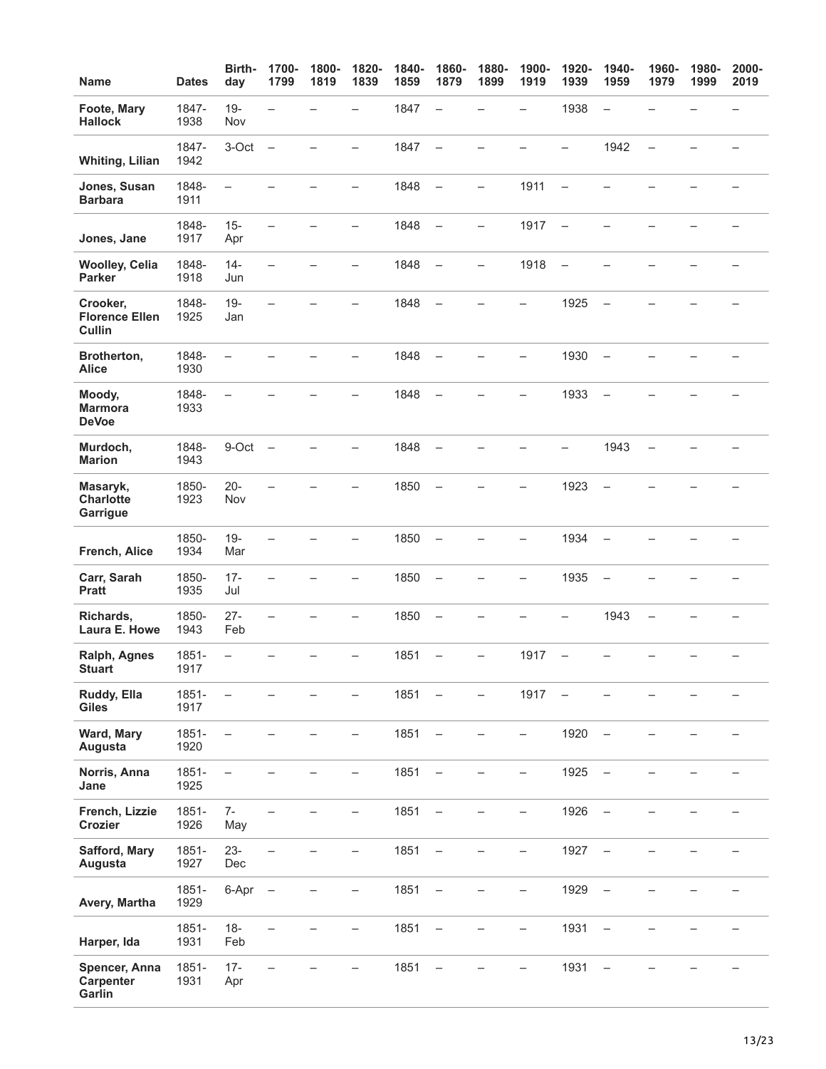| <b>Name</b>                                 | <b>Dates</b>     | Birth-<br>day            | 1700-<br>1799            | 1800-<br>1819 | 1820-<br>1839            | 1840-<br>1859 | 1860-<br>1879            | 1880-<br>1899            | 1900-<br>1919            | 1920-<br>1939            | 1940-<br>1959            | 1960-<br>1979            | 1980-<br>1999 | 2000-<br>2019            |
|---------------------------------------------|------------------|--------------------------|--------------------------|---------------|--------------------------|---------------|--------------------------|--------------------------|--------------------------|--------------------------|--------------------------|--------------------------|---------------|--------------------------|
| Foote, Mary<br><b>Hallock</b>               | 1847-<br>1938    | $19 -$<br>Nov            | $\overline{\phantom{0}}$ |               | -                        | 1847          | $\overline{\phantom{0}}$ |                          | -                        | 1938                     | $\qquad \qquad -$        |                          |               | $\overline{\phantom{0}}$ |
| <b>Whiting, Lilian</b>                      | 1847-<br>1942    | 3-Oct                    | $\overline{\phantom{0}}$ |               |                          | 1847          | $\overline{\phantom{0}}$ |                          |                          |                          | 1942                     | $\overline{a}$           |               |                          |
| Jones, Susan<br><b>Barbara</b>              | 1848-<br>1911    | $\overline{\phantom{0}}$ |                          |               | —                        | 1848          | $\overline{\phantom{0}}$ | $\overline{\phantom{0}}$ | 1911                     | $\overline{\phantom{0}}$ |                          |                          |               |                          |
| Jones, Jane                                 | 1848-<br>1917    | $15 -$<br>Apr            |                          |               | -                        | 1848          | $\equiv$                 | $\overline{\phantom{0}}$ | 1917                     | $\qquad \qquad -$        |                          |                          |               |                          |
| <b>Woolley, Celia</b><br><b>Parker</b>      | 1848-<br>1918    | $14 -$<br>Jun            | -                        |               |                          | 1848          | $\overline{\phantom{0}}$ | -                        | 1918                     | $\overline{\phantom{0}}$ |                          |                          |               |                          |
| Crooker,<br><b>Florence Ellen</b><br>Cullin | 1848-<br>1925    | $19 -$<br>Jan            |                          |               |                          | 1848          |                          |                          |                          | 1925                     |                          |                          |               |                          |
| Brotherton,<br><b>Alice</b>                 | 1848-<br>1930    | -                        |                          |               |                          | 1848          | $\overline{\phantom{0}}$ |                          |                          | 1930                     | $\qquad \qquad -$        |                          |               |                          |
| Moody,<br><b>Marmora</b><br><b>DeVoe</b>    | 1848-<br>1933    | $\overline{\phantom{0}}$ |                          |               |                          | 1848          |                          |                          |                          | 1933                     |                          |                          |               |                          |
| Murdoch,<br><b>Marion</b>                   | 1848-<br>1943    | 9-Oct                    | $\overline{\phantom{0}}$ |               |                          | 1848          |                          |                          |                          | $\overline{\phantom{0}}$ | 1943                     | $\overline{\phantom{0}}$ |               |                          |
| Masaryk,<br><b>Charlotte</b><br>Garrigue    | 1850-<br>1923    | $20 -$<br>Nov            |                          |               | -                        | 1850          | $\overline{\phantom{a}}$ |                          |                          | 1923                     | $\qquad \qquad -$        |                          |               |                          |
| French, Alice                               | 1850-<br>1934    | $19 -$<br>Mar            |                          |               |                          | 1850          | $\overline{\phantom{0}}$ |                          |                          | 1934                     | $\overline{\phantom{0}}$ |                          |               |                          |
| Carr, Sarah<br><b>Pratt</b>                 | 1850-<br>1935    | $17 -$<br>Jul            |                          |               | -                        | 1850          | $\overline{\phantom{0}}$ |                          | -                        | 1935                     | $\overline{\phantom{0}}$ |                          |               |                          |
| Richards,<br>Laura E. Howe                  | 1850-<br>1943    | $27 -$<br>Feb            | $\equiv$                 |               | $\overline{\phantom{0}}$ | 1850          | $\overline{\phantom{0}}$ |                          |                          | <u>.</u>                 | 1943                     | $\qquad \qquad -$        |               |                          |
| Ralph, Agnes<br><b>Stuart</b>               | $1851 -$<br>1917 | $\overline{\phantom{0}}$ |                          |               | -                        | 1851          | —                        | -                        | 1917                     | $\overline{\phantom{0}}$ |                          |                          |               | -                        |
| Ruddy, Ella<br><b>Giles</b>                 | 1851-<br>1917    |                          |                          |               |                          | 1851          |                          |                          | 1917                     |                          |                          |                          |               |                          |
| Ward, Mary<br>Augusta                       | 1851-<br>1920    | $\overline{\phantom{0}}$ |                          |               | -                        | 1851          |                          |                          | -                        | 1920                     | $\overline{\phantom{0}}$ |                          |               |                          |
| Norris, Anna<br>Jane                        | 1851-<br>1925    | $\overline{\phantom{0}}$ |                          |               |                          | 1851          | $\qquad \qquad -$        |                          | $\overline{\phantom{0}}$ | 1925                     | $\qquad \qquad -$        |                          |               |                          |
| French, Lizzie<br>Crozier                   | 1851-<br>1926    | $7-$<br>May              | $\overline{\phantom{0}}$ |               | -                        | 1851          | $\overline{\phantom{0}}$ |                          | -                        | 1926                     | $\qquad \qquad -$        |                          |               |                          |
| Safford, Mary<br>Augusta                    | 1851-<br>1927    | $23 -$<br>Dec            | $\overline{\phantom{0}}$ |               | $\overline{\phantom{0}}$ | 1851          | $\qquad \qquad -$        | -                        | $\overline{\phantom{0}}$ | 1927                     | $\overline{\phantom{m}}$ |                          |               |                          |
| Avery, Martha                               | 1851-<br>1929    | 6-Apr                    | $\overline{\phantom{0}}$ |               | -                        | 1851          | $\qquad \qquad -$        |                          | -                        | 1929                     | $\qquad \qquad -$        |                          |               |                          |
| Harper, Ida                                 | 1851-<br>1931    | $18 -$<br>Feb            |                          |               | -                        | 1851          | —                        |                          | —                        | 1931                     | $\overline{\phantom{0}}$ |                          |               |                          |
| Spencer, Anna<br>Carpenter<br>Garlin        | 1851-<br>1931    | $17 -$<br>Apr            |                          |               |                          | 1851          |                          |                          |                          | 1931                     |                          |                          |               |                          |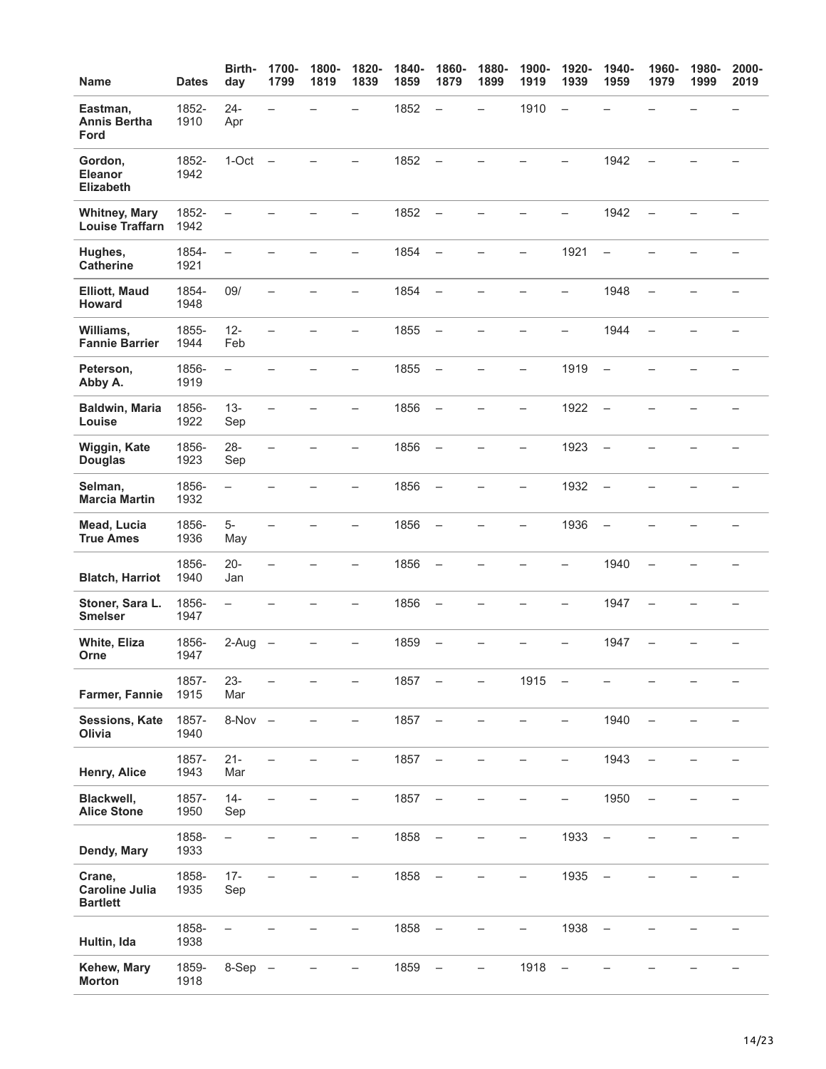| <b>Name</b>                                        | <b>Dates</b>  | Birth-<br>day            | 1700-<br>1799            | 1800-<br>1819 | 1820-<br>1839            | 1840-<br>1859 | 1860-<br>1879            | 1880-<br>1899            | 1900-<br>1919            | 1920-<br>1939            | 1940-<br>1959            | 1960-<br>1979            | 1980-<br>1999 | 2000-<br>2019 |
|----------------------------------------------------|---------------|--------------------------|--------------------------|---------------|--------------------------|---------------|--------------------------|--------------------------|--------------------------|--------------------------|--------------------------|--------------------------|---------------|---------------|
| Eastman,<br><b>Annis Bertha</b><br>Ford            | 1852-<br>1910 | $24 -$<br>Apr            | $\equiv$                 |               |                          | 1852          | $\qquad \qquad -$        | $\overline{\phantom{0}}$ | 1910                     | $\overline{\phantom{a}}$ |                          |                          |               |               |
| Gordon,<br><b>Eleanor</b><br><b>Elizabeth</b>      | 1852-<br>1942 | $1-Oct$ $-$              |                          |               |                          | 1852          | $\overline{\phantom{0}}$ |                          |                          |                          | 1942                     |                          |               |               |
| <b>Whitney, Mary</b><br><b>Louise Traffarn</b>     | 1852-<br>1942 | $\overline{\phantom{0}}$ |                          |               | $\equiv$                 | 1852          | $\overline{\phantom{m}}$ |                          |                          | ÷,                       | 1942                     | $\overline{\phantom{0}}$ |               |               |
| Hughes,<br><b>Catherine</b>                        | 1854-<br>1921 | $\overline{\phantom{m}}$ |                          |               | -                        | 1854          | $\overline{\phantom{0}}$ |                          | -                        | 1921                     | $\overline{\phantom{0}}$ |                          |               |               |
| <b>Elliott, Maud</b><br>Howard                     | 1854-<br>1948 | 09/                      |                          |               |                          | 1854          | $\qquad \qquad -$        |                          |                          | $\overline{\phantom{0}}$ | 1948                     | $\overline{\phantom{0}}$ |               |               |
| Williams,<br><b>Fannie Barrier</b>                 | 1855-<br>1944 | $12 -$<br>Feb            |                          |               |                          | 1855          | $\overline{\phantom{m}}$ |                          |                          |                          | 1944                     | $\overline{\phantom{0}}$ |               |               |
| Peterson,<br>Abby A.                               | 1856-<br>1919 | $\equiv$                 |                          |               | $\overline{\phantom{0}}$ | 1855          | $\overline{\phantom{0}}$ | $\overline{\phantom{a}}$ | -                        | 1919                     | $\overline{\phantom{m}}$ |                          |               |               |
| <b>Baldwin, Maria</b><br>Louise                    | 1856-<br>1922 | $13 -$<br>Sep            |                          |               | L,                       | 1856          | $\overline{\phantom{m}}$ |                          | -                        | 1922                     | $\equiv$                 |                          |               |               |
| Wiggin, Kate<br><b>Douglas</b>                     | 1856-<br>1923 | $28 -$<br>Sep            | $\overline{\phantom{0}}$ |               | $\overline{\phantom{0}}$ | 1856          | $\overline{\phantom{0}}$ |                          | $\overline{\phantom{0}}$ | 1923                     | $\overline{\phantom{0}}$ |                          |               |               |
| Selman,<br><b>Marcia Martin</b>                    | 1856-<br>1932 | $\equiv$                 |                          |               |                          | 1856          | $\qquad \qquad -$        |                          | -                        | 1932                     | $\overline{\phantom{a}}$ |                          |               |               |
| Mead, Lucia<br><b>True Ames</b>                    | 1856-<br>1936 | $5-$<br>May              | $\overline{\phantom{0}}$ |               | -                        | 1856          | $\overline{\phantom{0}}$ |                          |                          | 1936                     | $\qquad \qquad -$        |                          |               |               |
| <b>Blatch, Harriot</b>                             | 1856-<br>1940 | $20 -$<br>Jan            |                          |               |                          | 1856          |                          |                          |                          |                          | 1940                     |                          |               |               |
| Stoner, Sara L.<br><b>Smelser</b>                  | 1856-<br>1947 | $\overline{\phantom{0}}$ |                          |               |                          | 1856          | $\qquad \qquad -$        |                          |                          | -                        | 1947                     | $\overline{\phantom{0}}$ |               |               |
| White, Eliza<br>Orne                               | 1856-<br>1947 | 2-Aug                    |                          |               |                          | 1859          |                          |                          |                          |                          | 1947                     |                          |               |               |
| Farmer, Fannie                                     | 1857-<br>1915 | $23 -$<br>Mar            |                          |               |                          | 1857          |                          | -                        | 1915                     | $\qquad \qquad -$        |                          |                          |               |               |
| <b>Sessions, Kate</b><br>Olivia                    | 1857-<br>1940 | $8-Nov -$                |                          |               |                          | 1857          | -                        |                          |                          | -                        | 1940                     |                          |               |               |
| Henry, Alice                                       | 1857-<br>1943 | $21 -$<br>Mar            |                          |               |                          | 1857          |                          |                          |                          |                          | 1943                     |                          |               |               |
| Blackwell,<br><b>Alice Stone</b>                   | 1857-<br>1950 | $14 -$<br>Sep            |                          |               | —                        | 1857          | $\overline{\phantom{0}}$ |                          |                          | -                        | 1950                     | $\overline{\phantom{0}}$ |               |               |
| Dendy, Mary                                        | 1858-<br>1933 | $\qquad \qquad -$        |                          |               |                          | 1858          | $\qquad \qquad -$        |                          |                          | 1933                     | $\qquad \qquad -$        |                          |               |               |
| Crane,<br><b>Caroline Julia</b><br><b>Bartlett</b> | 1858-<br>1935 | $17 -$<br>Sep            |                          |               |                          | 1858          |                          |                          | -                        | 1935                     |                          |                          |               |               |
| Hultin, Ida                                        | 1858-<br>1938 |                          |                          |               |                          | 1858          |                          |                          |                          | 1938                     |                          |                          |               |               |
| Kehew, Mary<br><b>Morton</b>                       | 1859-<br>1918 | $8-Sep -$                |                          |               |                          | 1859          | $\qquad \qquad -$        | -                        | 1918                     | $\overline{\phantom{0}}$ |                          |                          |               |               |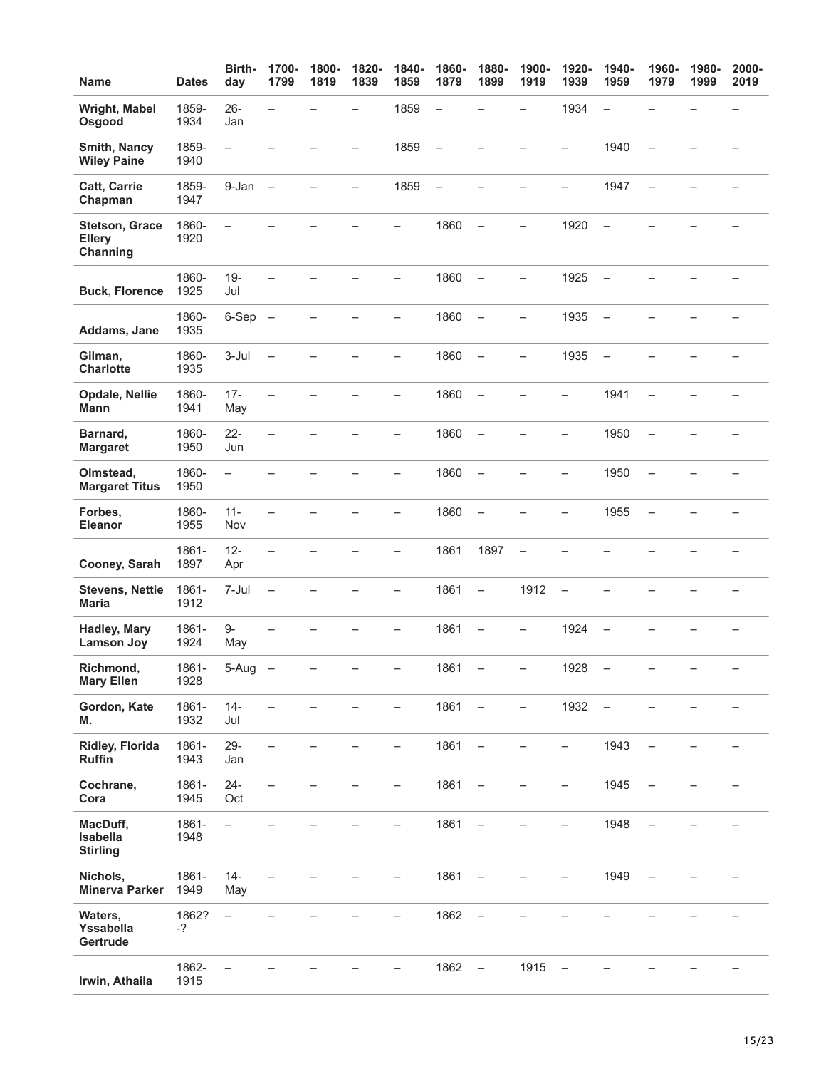| <b>Name</b>                                        | <b>Dates</b>  | Birth-<br>day            | 1700-<br>1799            | 1800-<br>1819 | 1820-<br>1839            | 1840-<br>1859            | 1860-<br>1879            | 1880-<br>1899            | 1900-<br>1919            | 1920-<br>1939            | 1940-<br>1959            | 1960-<br>1979            | 1980-<br>1999 | 2000-<br>2019 |
|----------------------------------------------------|---------------|--------------------------|--------------------------|---------------|--------------------------|--------------------------|--------------------------|--------------------------|--------------------------|--------------------------|--------------------------|--------------------------|---------------|---------------|
| Wright, Mabel<br>Osgood                            | 1859-<br>1934 | $26 -$<br>Jan            | $\overline{\phantom{0}}$ |               | —                        | 1859                     | $\overline{\phantom{0}}$ |                          | —                        | 1934                     | $\overline{\phantom{0}}$ |                          |               |               |
| Smith, Nancy<br><b>Wiley Paine</b>                 | 1859-<br>1940 | $\overline{\phantom{0}}$ |                          |               |                          | 1859                     | $\overline{\phantom{0}}$ |                          |                          | $\overline{\phantom{0}}$ | 1940                     | $\overline{\phantom{0}}$ |               |               |
| <b>Catt, Carrie</b><br>Chapman                     | 1859-<br>1947 | 9-Jan                    | $\overline{\phantom{0}}$ |               | $\overline{\phantom{0}}$ | 1859                     | $\overline{\phantom{0}}$ |                          |                          | $\overline{\phantom{0}}$ | 1947                     | $\overline{\phantom{0}}$ |               |               |
| <b>Stetson, Grace</b><br><b>Ellery</b><br>Channing | 1860-<br>1920 | $\overline{\phantom{0}}$ |                          |               |                          | $\overline{\phantom{0}}$ | 1860                     | $\equiv$                 | $\overline{\phantom{0}}$ | 1920                     | $\equiv$                 |                          |               |               |
| <b>Buck, Florence</b>                              | 1860-<br>1925 | $19 -$<br>Jul            | $\overline{\phantom{0}}$ |               |                          | $\overline{\phantom{0}}$ | 1860                     | $\qquad \qquad -$        | $\overline{\phantom{0}}$ | 1925                     | $\qquad \qquad -$        |                          |               |               |
| Addams, Jane                                       | 1860-<br>1935 | $6-Sep$ $-$              |                          |               |                          | —                        | 1860                     | $\overline{\phantom{0}}$ | -                        | 1935                     | $\overline{\phantom{0}}$ |                          |               |               |
| Gilman,<br><b>Charlotte</b>                        | 1860-<br>1935 | $3-Jul$                  | $\overline{\phantom{0}}$ |               |                          | -                        | 1860                     | $\qquad \qquad -$        | -                        | 1935                     | $\overline{\phantom{0}}$ |                          |               |               |
| Opdale, Nellie<br><b>Mann</b>                      | 1860-<br>1941 | $17 -$<br>May            |                          |               |                          |                          | 1860                     | $\qquad \qquad -$        |                          |                          | 1941                     |                          |               |               |
| Barnard,<br><b>Margaret</b>                        | 1860-<br>1950 | $22 -$<br>Jun            |                          |               |                          | Ξ.                       | 1860                     | $\overline{\phantom{m}}$ |                          | <u>.</u>                 | 1950                     |                          |               |               |
| Olmstead,<br><b>Margaret Titus</b>                 | 1860-<br>1950 | $\overline{\phantom{0}}$ |                          |               |                          |                          | 1860                     | $\overline{\phantom{0}}$ |                          | —                        | 1950                     | $\overline{\phantom{0}}$ |               |               |
| Forbes,<br>Eleanor                                 | 1860-<br>1955 | $11 -$<br>Nov            |                          |               |                          | -                        | 1860                     | $\overline{\phantom{0}}$ |                          | $\overline{\phantom{0}}$ | 1955                     | $\overline{\phantom{0}}$ |               |               |
| Cooney, Sarah                                      | 1861-<br>1897 | $12 -$<br>Apr            |                          |               |                          | -                        | 1861                     | 1897                     | $\overline{\phantom{0}}$ |                          |                          |                          |               |               |
| <b>Stevens, Nettie</b><br><b>Maria</b>             | 1861-<br>1912 | 7-Jul                    | $\overline{\phantom{0}}$ |               |                          | —                        | 1861                     | $\qquad \qquad -$        | 1912                     | $\overline{\phantom{0}}$ |                          |                          |               |               |
| <b>Hadley, Mary</b><br><b>Lamson Joy</b>           | 1861-<br>1924 | 9-<br>May                |                          |               |                          |                          | 1861                     | $\overline{\phantom{0}}$ | -                        | 1924                     |                          |                          |               |               |
| Richmond,<br><b>Mary Ellen</b>                     | 1861-<br>1928 | 5-Aug                    |                          |               |                          |                          | 1861                     |                          |                          | 1928                     |                          |                          |               |               |
| Gordon, Kate<br>M.                                 | 1861-<br>1932 | $14 -$<br>Jul            |                          |               |                          |                          | 1861                     | $\qquad \qquad -$        | $\overline{\phantom{0}}$ | 1932                     | $\overline{\phantom{0}}$ |                          |               |               |
| <b>Ridley, Florida</b><br><b>Ruffin</b>            | 1861-<br>1943 | $29 -$<br>Jan            |                          |               |                          |                          | 1861                     | $\overline{\phantom{0}}$ |                          | -                        | 1943                     |                          |               |               |
| Cochrane,<br>Cora                                  | 1861-<br>1945 | $24 -$<br>Oct            |                          |               |                          | -                        | 1861                     | $\qquad \qquad -$        |                          | -                        | 1945                     | -                        |               |               |
| MacDuff,<br>Isabella<br><b>Stirling</b>            | 1861-<br>1948 | $\overline{\phantom{0}}$ |                          |               |                          |                          | 1861                     |                          |                          |                          | 1948                     |                          |               |               |
| Nichols,<br><b>Minerva Parker</b>                  | 1861-<br>1949 | $14 -$<br>May            |                          |               |                          |                          | 1861                     | $\qquad \qquad -$        |                          |                          | 1949                     |                          |               |               |
| Waters,<br>Yssabella<br>Gertrude                   | 1862?<br>-?   | $\qquad \qquad -$        |                          |               |                          |                          | 1862                     | $\qquad \qquad -$        |                          |                          |                          |                          |               |               |
| Irwin, Athaila                                     | 1862-<br>1915 |                          |                          |               |                          |                          | 1862                     | $\overline{\phantom{a}}$ | 1915                     |                          |                          |                          |               |               |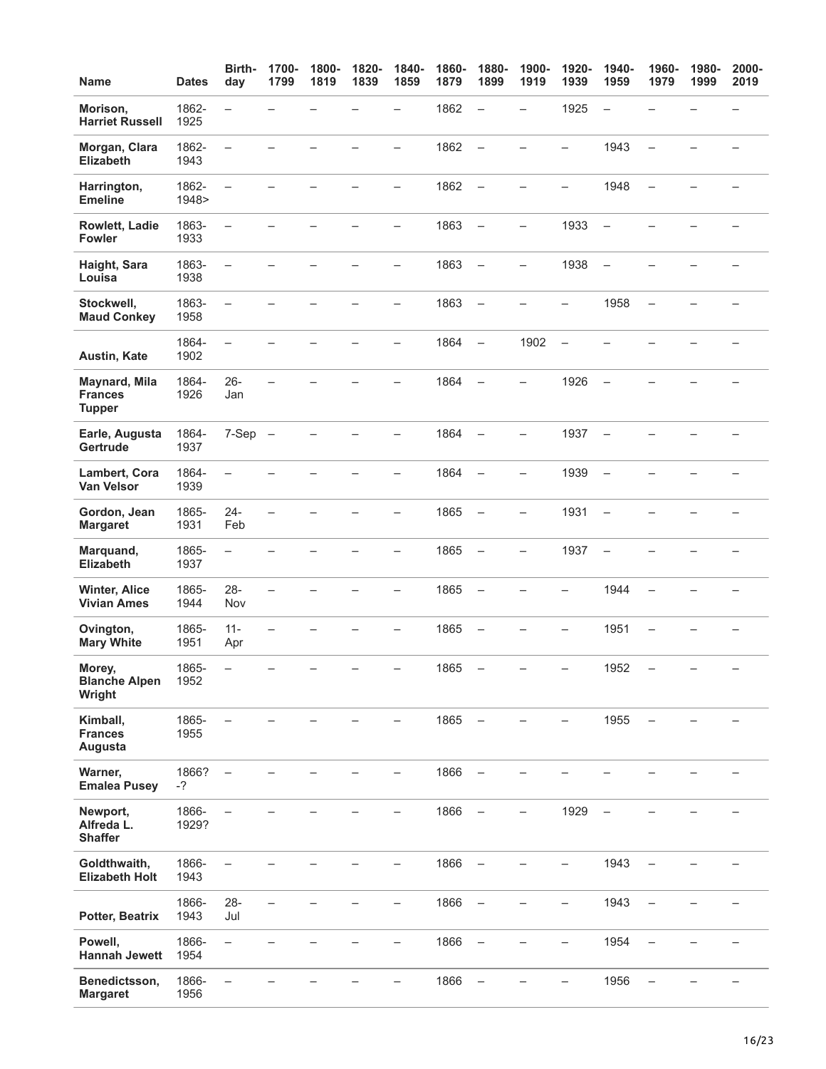| <b>Name</b>                                             | <b>Dates</b>   | Birth-<br>day            | 1700-<br>1799            | 1800-<br>1819 | 1820-<br>1839 | 1840-<br>1859            | 1860-<br>1879 | 1880-<br>1899            | 1900-<br>1919            | 1920-<br>1939            | 1940-<br>1959            | 1960-<br>1979            | 1980-<br>1999 | 2000-<br>2019            |
|---------------------------------------------------------|----------------|--------------------------|--------------------------|---------------|---------------|--------------------------|---------------|--------------------------|--------------------------|--------------------------|--------------------------|--------------------------|---------------|--------------------------|
| Morison,<br><b>Harriet Russell</b>                      | 1862-<br>1925  | $\overline{\phantom{0}}$ |                          |               |               | $\overline{\phantom{0}}$ | 1862          | $\overline{\phantom{0}}$ | $\overline{\phantom{0}}$ | 1925                     | $\overline{\phantom{0}}$ |                          |               |                          |
| Morgan, Clara<br><b>Elizabeth</b>                       | 1862-<br>1943  | $\overline{\phantom{0}}$ |                          |               |               | $\overline{\phantom{0}}$ | 1862          | $\qquad \qquad -$        | $\overline{\phantom{0}}$ | $\equiv$                 | 1943                     | $\overline{\phantom{0}}$ |               | $\overline{\phantom{0}}$ |
| Harrington,<br><b>Emeline</b>                           | 1862-<br>1948> | $\qquad \qquad -$        |                          |               |               | $\overline{\phantom{0}}$ | 1862          | $\qquad \qquad -$        | $\overline{\phantom{0}}$ | -                        | 1948                     | $\overline{\phantom{0}}$ |               |                          |
| Rowlett, Ladie<br><b>Fowler</b>                         | 1863-<br>1933  | $\overline{\phantom{0}}$ |                          |               |               | $\overline{\phantom{0}}$ | 1863          | $\qquad \qquad -$        | $\overline{\phantom{0}}$ | 1933                     | $\overline{\phantom{0}}$ |                          |               |                          |
| Haight, Sara<br>Louisa                                  | 1863-<br>1938  | $\overline{\phantom{0}}$ |                          |               |               |                          | 1863          | $\overline{\phantom{0}}$ | $\overline{\phantom{0}}$ | 1938                     | $\overline{\phantom{0}}$ |                          |               |                          |
| Stockwell,<br><b>Maud Conkey</b>                        | 1863-<br>1958  | $\overline{\phantom{0}}$ |                          |               |               | $\overline{\phantom{0}}$ | 1863          | $\qquad \qquad -$        |                          | $\overline{\phantom{0}}$ | 1958                     | $\overline{\phantom{0}}$ |               |                          |
| Austin, Kate                                            | 1864-<br>1902  | $\overline{a}$           |                          |               |               | $\overline{\phantom{0}}$ | 1864          | $\equiv$                 | 1902                     | $\equiv$                 | $\overline{\phantom{0}}$ |                          |               |                          |
| <b>Maynard, Mila</b><br><b>Frances</b><br><b>Tupper</b> | 1864-<br>1926  | 26-<br>Jan               | $\overline{\phantom{0}}$ |               |               | -                        | 1864          | $\qquad \qquad -$        | $\overline{\phantom{0}}$ | 1926                     | $\overline{\phantom{0}}$ |                          |               |                          |
| Earle, Augusta<br>Gertrude                              | 1864-<br>1937  | $7-Sep$ $-$              |                          |               |               | -                        | 1864          | $\qquad \qquad -$        | $\overline{\phantom{0}}$ | 1937                     | $\overline{\phantom{0}}$ |                          |               |                          |
| Lambert, Cora<br>Van Velsor                             | 1864-<br>1939  |                          |                          |               |               |                          | 1864          | $\qquad \qquad -$        |                          | 1939                     | $\overline{\phantom{m}}$ |                          |               |                          |
| Gordon, Jean<br><b>Margaret</b>                         | 1865-<br>1931  | $24 -$<br>Feb            | $\overline{\phantom{0}}$ |               |               | -                        | 1865          | $\overline{\phantom{0}}$ | $\overline{\phantom{0}}$ | 1931                     | $\overline{\phantom{0}}$ |                          |               |                          |
| Marquand,<br>Elizabeth                                  | 1865-<br>1937  | $\qquad \qquad -$        |                          |               |               | -                        | 1865          | $\overline{\phantom{a}}$ | -                        | 1937                     | $\overline{\phantom{0}}$ |                          |               |                          |
| <b>Winter, Alice</b><br><b>Vivian Ames</b>              | 1865-<br>1944  | $28 -$<br>Nov            | $\overline{\phantom{0}}$ |               |               | -                        | 1865          | $\overline{\phantom{0}}$ |                          | -                        | 1944                     |                          |               |                          |
| Ovington,<br><b>Mary White</b>                          | 1865-<br>1951  | $11 -$<br>Apr            |                          |               |               |                          | 1865          | $\overline{\phantom{0}}$ |                          |                          | 1951                     |                          |               |                          |
| Morey,<br><b>Blanche Alpen</b><br>Wright                | 1865-<br>1952  |                          |                          |               |               |                          | 1865          |                          |                          |                          | 1952                     | -                        |               |                          |
| Kimball,<br><b>Frances</b><br>Augusta                   | 1865-<br>1955  |                          |                          |               |               |                          | 1865          | $\overline{\phantom{m}}$ |                          |                          | 1955                     |                          |               |                          |
| Warner,<br><b>Emalea Pusey</b>                          | 1866?<br>$-?$  |                          |                          |               |               |                          | 1866          |                          |                          |                          |                          |                          |               |                          |
| Newport,<br>Alfreda L.<br><b>Shaffer</b>                | 1866-<br>1929? | $\overline{\phantom{0}}$ |                          |               |               | -                        | 1866          | $\qquad \qquad -$        | -                        | 1929                     | $\overline{\phantom{0}}$ |                          |               |                          |
| Goldthwaith,<br><b>Elizabeth Holt</b>                   | 1866-<br>1943  |                          |                          |               |               |                          | 1866          | $\overline{\phantom{0}}$ |                          |                          | 1943                     |                          |               |                          |
| Potter, Beatrix                                         | 1866-<br>1943  | $28 -$<br>Jul            |                          |               |               |                          | 1866          | $\qquad \qquad -$        |                          |                          | 1943                     |                          |               |                          |
| Powell,<br><b>Hannah Jewett</b>                         | 1866-<br>1954  | $\equiv$                 |                          |               |               | $\qquad \qquad -$        | 1866          | $\qquad \qquad -$        | —                        | -                        | 1954                     | $\overline{\phantom{0}}$ |               |                          |
| Benedictsson,<br><b>Margaret</b>                        | 1866-<br>1956  | $\overline{\phantom{0}}$ |                          |               |               |                          | 1866          | $\qquad \qquad -$        |                          |                          | 1956                     | $\overline{\phantom{0}}$ |               |                          |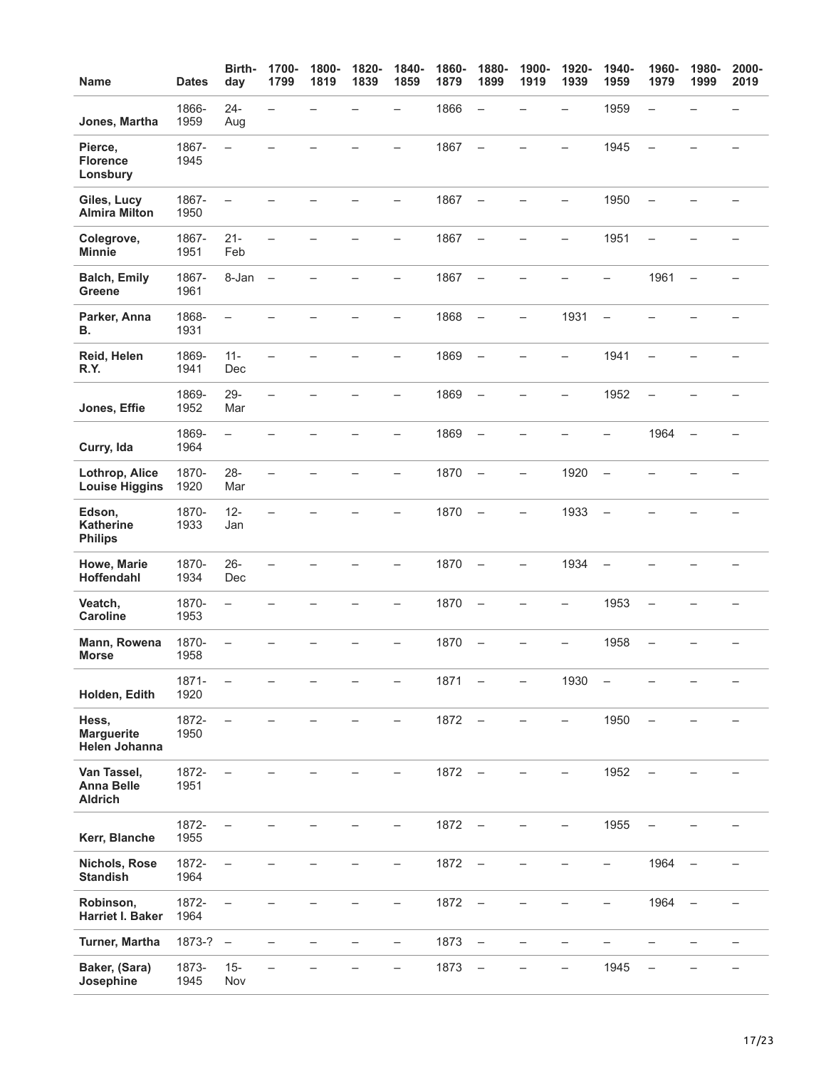| <b>Name</b>                                        | <b>Dates</b>  | Birth-<br>day            | 1700-<br>1799            | 1800-<br>1819 | 1820-<br>1839 | 1840-<br>1859            | 1860-<br>1879 | 1880-<br>1899            | 1900-<br>1919            | 1920-<br>1939            | 1940-<br>1959            | 1960-<br>1979            | 1980-<br>1999            | 2000-<br>2019            |
|----------------------------------------------------|---------------|--------------------------|--------------------------|---------------|---------------|--------------------------|---------------|--------------------------|--------------------------|--------------------------|--------------------------|--------------------------|--------------------------|--------------------------|
| Jones, Martha                                      | 1866-<br>1959 | $24 -$<br>Aug            | $\overline{\phantom{0}}$ |               |               | $\overline{\phantom{0}}$ | 1866          | $\qquad \qquad -$        |                          | $\overline{\phantom{0}}$ | 1959                     | $\overline{\phantom{0}}$ |                          |                          |
| Pierce,<br><b>Florence</b><br>Lonsbury             | 1867-<br>1945 | $\equiv$                 |                          |               |               |                          | 1867          | $\qquad \qquad -$        |                          |                          | 1945                     | $\overline{\phantom{0}}$ |                          |                          |
| Giles, Lucy<br><b>Almira Milton</b>                | 1867-<br>1950 | $\overline{\phantom{0}}$ |                          |               |               |                          | 1867          | $\overline{\phantom{0}}$ |                          |                          | 1950                     |                          |                          |                          |
| Colegrove,<br><b>Minnie</b>                        | 1867-<br>1951 | $21 -$<br>Feb            |                          |               |               | $\overline{\phantom{0}}$ | 1867          | $\qquad \qquad -$        |                          | $\overline{\phantom{0}}$ | 1951                     | $\overline{\phantom{0}}$ |                          |                          |
| <b>Balch, Emily</b><br><b>Greene</b>               | 1867-<br>1961 | 8-Jan                    | $\qquad \qquad -$        |               |               | $\overline{\phantom{0}}$ | 1867          | $\equiv$                 | $\equiv$                 |                          | $\equiv$                 | 1961                     | $\overline{a}$           | $\overline{\phantom{m}}$ |
| Parker, Anna<br>В.                                 | 1868-<br>1931 | $\qquad \qquad -$        |                          |               |               | $\overline{\phantom{0}}$ | 1868          | $\overline{\phantom{m}}$ | $\overline{\phantom{0}}$ | 1931                     | $\overline{\phantom{0}}$ |                          |                          | $\overline{\phantom{0}}$ |
| Reid, Helen<br>R.Y.                                | 1869-<br>1941 | $11 -$<br>Dec            |                          |               |               | -                        | 1869          | $\overline{\phantom{a}}$ |                          | $\overline{\phantom{0}}$ | 1941                     | $\overline{\phantom{0}}$ |                          |                          |
| Jones, Effie                                       | 1869-<br>1952 | $29 -$<br>Mar            | $\overline{\phantom{0}}$ |               |               | $\overline{\phantom{0}}$ | 1869          | $\qquad \qquad -$        |                          | $\overline{\phantom{0}}$ | 1952                     | $\overline{\phantom{0}}$ |                          |                          |
| Curry, Ida                                         | 1869-<br>1964 | $\equiv$                 |                          |               |               | $\overline{\phantom{0}}$ | 1869          | $\overline{\phantom{m}}$ |                          |                          | $\overline{\phantom{0}}$ | 1964                     | $\overline{\phantom{0}}$ |                          |
| Lothrop, Alice<br><b>Louise Higgins</b>            | 1870-<br>1920 | $28 -$<br>Mar            |                          |               |               |                          | 1870          | $\overline{\phantom{m}}$ | $\overline{\phantom{0}}$ | 1920                     | $\equiv$                 |                          |                          |                          |
| Edson,<br><b>Katherine</b><br><b>Philips</b>       | 1870-<br>1933 | $12 -$<br>Jan            |                          |               |               | $\overline{\phantom{0}}$ | 1870          | $\overline{\phantom{a}}$ | $\overline{\phantom{0}}$ | 1933                     | $\overline{\phantom{0}}$ |                          |                          |                          |
| Howe, Marie<br>Hoffendahl                          | 1870-<br>1934 | $26 -$<br>Dec            |                          |               |               |                          | 1870          | $\overline{\phantom{a}}$ | $\overline{\phantom{0}}$ | 1934                     |                          |                          |                          |                          |
| Veatch,<br><b>Caroline</b>                         | 1870-<br>1953 | $\overline{\phantom{0}}$ |                          |               |               | $\overline{\phantom{0}}$ | 1870          | $\overline{\phantom{m}}$ |                          | $\overline{\phantom{0}}$ | 1953                     | $\overline{\phantom{0}}$ |                          |                          |
| Mann, Rowena<br><b>Morse</b>                       | 1870-<br>1958 | $\overline{\phantom{0}}$ |                          |               |               |                          | 1870          | $\overline{\phantom{0}}$ |                          |                          | 1958                     |                          |                          |                          |
| Holden, Edith                                      | 1871-<br>1920 | $\overline{\phantom{0}}$ |                          |               |               | —                        | 1871          | $\qquad \qquad -$        | $\overline{\phantom{0}}$ | 1930                     | -                        |                          |                          | $\qquad \qquad -$        |
| Hess,<br><b>Marguerite</b><br>Helen Johanna        | 1872-<br>1950 | $\overline{\phantom{0}}$ |                          |               |               | -                        | 1872          | $\overline{\phantom{m}}$ | $\qquad \qquad -$        | $\qquad \qquad -$        | 1950                     | $\qquad \qquad -$        |                          |                          |
| Van Tassel,<br><b>Anna Belle</b><br><b>Aldrich</b> | 1872-<br>1951 |                          |                          |               |               |                          | 1872          | $\overline{\phantom{a}}$ |                          |                          | 1952                     |                          |                          |                          |
| Kerr, Blanche                                      | 1872-<br>1955 | $\qquad \qquad -$        |                          |               |               |                          | 1872          | $\qquad \qquad -$        |                          |                          | 1955                     |                          |                          |                          |
| Nichols, Rose<br><b>Standish</b>                   | 1872-<br>1964 | $\overline{\phantom{0}}$ |                          |               |               |                          | 1872          | $\qquad \qquad -$        |                          |                          | -                        | 1964                     |                          |                          |
| Robinson,<br>Harriet I. Baker                      | 1872-<br>1964 |                          |                          |               |               |                          | 1872          | $\qquad \qquad -$        |                          |                          |                          | 1964                     |                          |                          |
| <b>Turner, Martha</b>                              | $1873-? -$    |                          |                          |               | ▃             | -                        | 1873          | $\overline{\phantom{a}}$ | $\overline{\phantom{0}}$ |                          |                          | $\overline{\phantom{0}}$ |                          | $\qquad \qquad -$        |
| Baker, (Sara)<br>Josephine                         | 1873-<br>1945 | $15 -$<br>Nov            |                          |               |               |                          | 1873          | $\qquad \qquad -$        |                          |                          | 1945                     | $\overline{\phantom{0}}$ |                          |                          |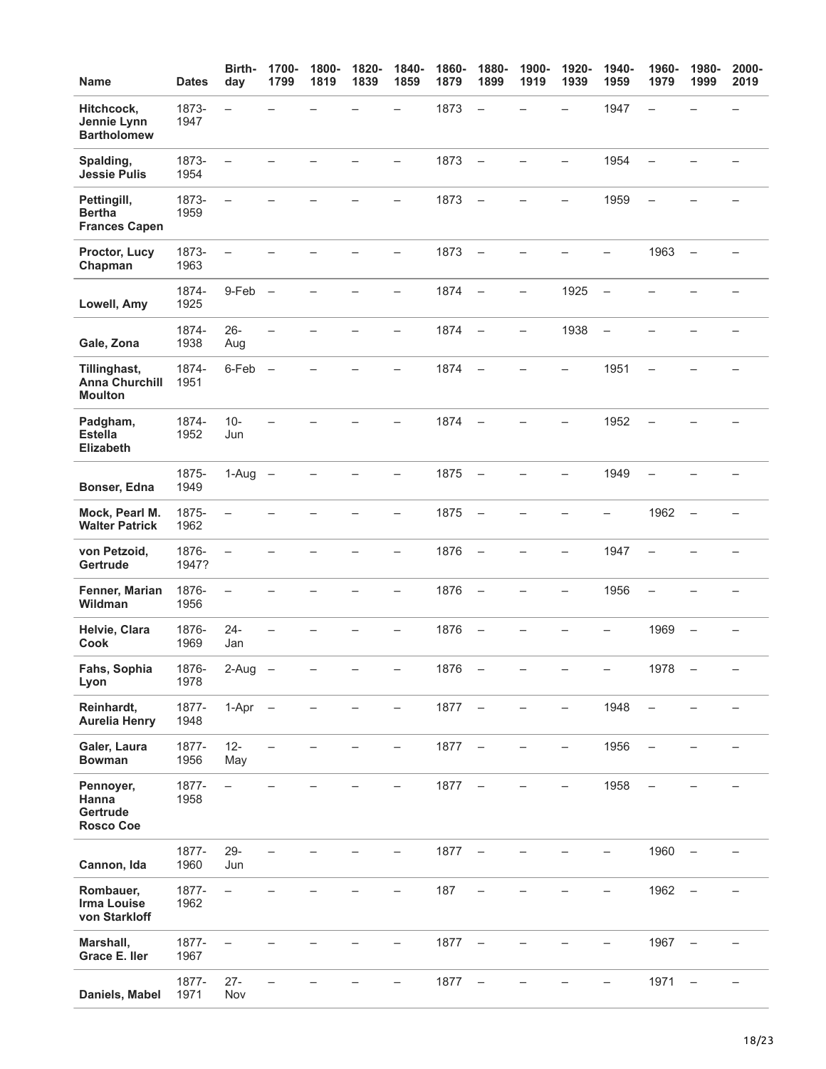| Name                                                    | <b>Dates</b>   | Birth-<br>day            | 1700-<br>1799 | 1800-<br>1819 | 1820-<br>1839 | 1840-<br>1859            | 1860-<br>1879 | 1880-<br>1899            | 1900-<br>1919            | 1920-<br>1939            | 1940-<br>1959            | 1960-<br>1979            | 1980-<br>1999            | 2000-<br>2019 |
|---------------------------------------------------------|----------------|--------------------------|---------------|---------------|---------------|--------------------------|---------------|--------------------------|--------------------------|--------------------------|--------------------------|--------------------------|--------------------------|---------------|
| Hitchcock,<br>Jennie Lynn<br><b>Bartholomew</b>         | 1873-<br>1947  | $\overline{\phantom{0}}$ |               |               |               | L.                       | 1873          | $\qquad \qquad -$        |                          | $\overline{\phantom{0}}$ | 1947                     | $\overline{\phantom{0}}$ |                          |               |
| Spalding,<br><b>Jessie Pulis</b>                        | 1873-<br>1954  | $\overline{\phantom{0}}$ |               |               |               | $\overline{\phantom{0}}$ | 1873          | $\qquad \qquad -$        |                          | $\overline{\phantom{0}}$ | 1954                     |                          |                          |               |
| Pettingill,<br><b>Bertha</b><br><b>Frances Capen</b>    | 1873-<br>1959  | $\overline{\phantom{0}}$ |               |               |               |                          | 1873          | $\overline{\phantom{m}}$ |                          |                          | 1959                     | $\overline{\phantom{0}}$ |                          |               |
| Proctor, Lucy<br>Chapman                                | 1873-<br>1963  | $\overline{\phantom{m}}$ |               |               |               | —                        | 1873          | $\overline{\phantom{m}}$ |                          |                          | $\overline{\phantom{0}}$ | 1963                     | $\overline{\phantom{0}}$ |               |
| Lowell, Amy                                             | 1874-<br>1925  | $9-Feb$ $-$              |               |               |               | $\overline{\phantom{0}}$ | 1874          | $\overline{\phantom{m}}$ | $\overline{\phantom{0}}$ | 1925                     | $\overline{\phantom{m}}$ |                          |                          |               |
| Gale, Zona                                              | 1874-<br>1938  | $26 -$<br>Aug            |               |               |               | Ξ.                       | 1874          | $\qquad \qquad -$        | $\overline{\phantom{0}}$ | 1938                     | $\qquad \qquad -$        |                          |                          |               |
| Tillinghast,<br><b>Anna Churchill</b><br><b>Moulton</b> | 1874-<br>1951  | 6-Feb -                  |               |               |               | $\overline{\phantom{0}}$ | 1874          | $\overline{\phantom{m}}$ |                          | $\equiv$                 | 1951                     |                          |                          |               |
| Padgham,<br><b>Estella</b><br><b>Elizabeth</b>          | 1874-<br>1952  | $10 -$<br>Jun            |               |               |               |                          | 1874          | $\overline{\phantom{m}}$ |                          |                          | 1952                     | $\overline{\phantom{0}}$ |                          |               |
| Bonser, Edna                                            | 1875-<br>1949  | $1-Aug -$                |               |               |               | $\overline{\phantom{0}}$ | 1875          | $\overline{\phantom{m}}$ |                          | $\overline{\phantom{0}}$ | 1949                     | $\overline{\phantom{0}}$ |                          |               |
| Mock, Pearl M.<br><b>Walter Patrick</b>                 | 1875-<br>1962  | $\overline{\phantom{0}}$ |               |               |               | $\overline{\phantom{0}}$ | 1875          | $\qquad \qquad -$        |                          |                          | $\overline{\phantom{0}}$ | 1962                     | $\overline{\phantom{0}}$ |               |
| von Petzoid,<br>Gertrude                                | 1876-<br>1947? | $\overline{\phantom{m}}$ |               |               |               | —                        | 1876          | $\overline{\phantom{m}}$ |                          | $\overline{\phantom{0}}$ | 1947                     | $\overline{\phantom{0}}$ |                          |               |
| Fenner, Marian<br><b>Wildman</b>                        | 1876-<br>1956  | $\overline{\phantom{m}}$ |               |               |               | -                        | 1876          | $\qquad \qquad -$        |                          | -                        | 1956                     | $\overline{\phantom{0}}$ |                          |               |
| Helvie, Clara<br>Cook                                   | 1876-<br>1969  | $24 -$<br>Jan            |               |               |               |                          | 1876          | $\qquad \qquad -$        |                          |                          |                          | 1969                     |                          |               |
| Fahs, Sophia<br>Lyon                                    | 1876-<br>1978  | 2-Aug                    |               |               |               |                          | 1876          |                          |                          |                          |                          | 1978                     |                          |               |
| Reinhardt,<br><b>Aurelia Henry</b>                      | 1877-<br>1948  | $1-Apr -$                |               |               |               |                          | 1877          | $\overline{\phantom{a}}$ |                          |                          | 1948                     | $\overline{\phantom{0}}$ |                          |               |
| Galer, Laura<br><b>Bowman</b>                           | 1877-<br>1956  | $12 -$<br>May            |               |               |               |                          | 1877          | $\overline{\phantom{m}}$ |                          |                          | 1956                     |                          |                          |               |
| Pennoyer,<br>Hanna<br>Gertrude<br><b>Rosco Coe</b>      | 1877-<br>1958  | $\overline{\phantom{0}}$ |               |               |               |                          | 1877          | $\overline{\phantom{m}}$ |                          |                          | 1958                     |                          |                          |               |
| Cannon, Ida                                             | 1877-<br>1960  | $29 -$<br>Jun            |               |               |               |                          | 1877          | $\overline{\phantom{m}}$ |                          |                          | —                        | 1960                     | $\qquad \qquad -$        |               |
| Rombauer,<br><b>Irma Louise</b><br>von Starkloff        | 1877-<br>1962  | $\equiv$                 |               |               |               |                          | 187           |                          |                          |                          |                          | 1962                     |                          |               |
| Marshall,<br>Grace E. Iler                              | 1877-<br>1967  |                          |               |               |               |                          | 1877          | $\overline{\phantom{m}}$ |                          |                          | -                        | 1967                     | $\qquad \qquad -$        |               |
| Daniels, Mabel                                          | 1877-<br>1971  | $27 -$<br>Nov            |               |               |               |                          | 1877          | $\qquad \qquad -$        |                          |                          |                          | 1971                     | $\qquad \qquad -$        |               |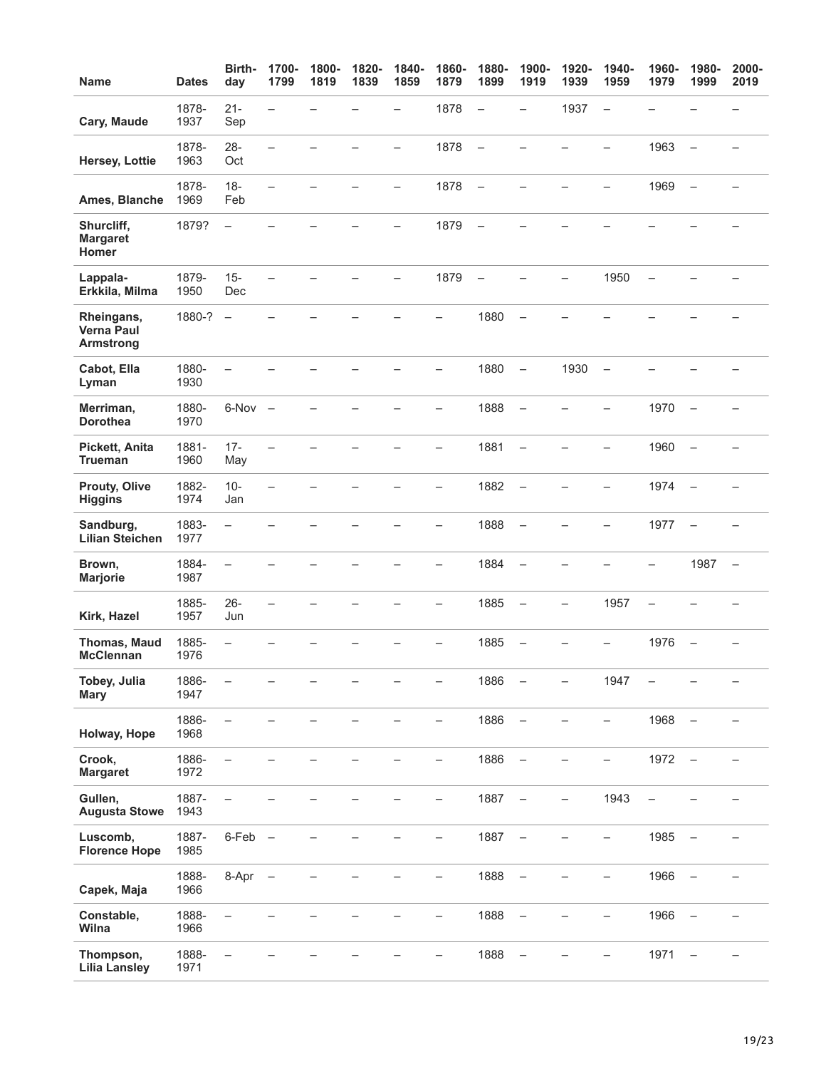| <b>Name</b>                                         | <b>Dates</b>  | Birth-<br>day            | 1700-<br>1799            | 1800-<br>1819 | 1820-<br>1839 | 1840-<br>1859            | 1860-<br>1879            | 1880-<br>1899            | 1900-<br>1919            | 1920-<br>1939            | 1940-<br>1959            | 1960-<br>1979            | 1980-<br>1999            | 2000-<br>2019            |
|-----------------------------------------------------|---------------|--------------------------|--------------------------|---------------|---------------|--------------------------|--------------------------|--------------------------|--------------------------|--------------------------|--------------------------|--------------------------|--------------------------|--------------------------|
| Cary, Maude                                         | 1878-<br>1937 | $21 -$<br>Sep            | $\overline{\phantom{0}}$ |               |               | $\equiv$                 | 1878                     | $\overline{\phantom{a}}$ | $\rightarrow$            | 1937                     | $\qquad \qquad -$        |                          |                          |                          |
| Hersey, Lottie                                      | 1878-<br>1963 | $28 -$<br>Oct            | $\overline{\phantom{0}}$ |               |               | $\overline{\phantom{0}}$ | 1878                     | $\qquad \qquad -$        | -                        |                          | $\overline{\phantom{0}}$ | 1963                     | $\equiv$                 | $\rightarrow$            |
| Ames, Blanche                                       | 1878-<br>1969 | $18 -$<br>Feb            | $\overline{\phantom{0}}$ |               |               | $\overline{\phantom{0}}$ | 1878                     | $\overline{\phantom{m}}$ |                          |                          | $\qquad \qquad -$        | 1969                     | $\qquad \qquad -$        |                          |
| Shurcliff,<br><b>Margaret</b><br>Homer              | 1879?         | $\qquad \qquad -$        |                          |               |               | —                        | 1879                     | $\overline{\phantom{m}}$ |                          |                          |                          |                          |                          |                          |
| Lappala-<br>Erkkila, Milma                          | 1879-<br>1950 | $15 -$<br>Dec            | $\overline{\phantom{0}}$ |               |               | $\overline{\phantom{0}}$ | 1879                     | $\equiv$                 |                          | $\overline{\phantom{0}}$ | 1950                     | $\equiv$                 |                          |                          |
| Rheingans,<br><b>Verna Paul</b><br><b>Armstrong</b> | 1880-?        | $\overline{\phantom{a}}$ |                          |               |               |                          | $\overline{\phantom{0}}$ | 1880                     | $\overline{\phantom{a}}$ |                          |                          |                          |                          |                          |
| Cabot, Ella<br>Lyman                                | 1880-<br>1930 |                          |                          |               |               |                          | $=$                      | 1880                     | $\overline{\phantom{a}}$ | 1930                     | $\overline{\phantom{a}}$ |                          |                          |                          |
| Merriman,<br><b>Dorothea</b>                        | 1880-<br>1970 | $6-Nov -$                |                          |               |               |                          |                          | 1888                     | $\overline{\phantom{a}}$ |                          |                          | 1970                     |                          |                          |
| Pickett, Anita<br><b>Trueman</b>                    | 1881-<br>1960 | $17 -$<br>May            | $\overline{\phantom{0}}$ |               |               |                          | $\overline{\phantom{0}}$ | 1881                     | $\overline{\phantom{0}}$ | L,                       | $\overline{\phantom{0}}$ | 1960                     | $\overline{\phantom{0}}$ |                          |
| Prouty, Olive<br><b>Higgins</b>                     | 1882-<br>1974 | $10 -$<br>Jan            | —                        |               |               |                          | —                        | 1882                     | $\overline{\phantom{a}}$ | $\overline{\phantom{0}}$ | -                        | 1974                     | $\overline{\phantom{a}}$ | $\overline{\phantom{0}}$ |
| Sandburg,<br><b>Lilian Steichen</b>                 | 1883-<br>1977 | $\qquad \qquad -$        |                          |               |               |                          | -                        | 1888                     | $\qquad \qquad -$        |                          | -                        | 1977                     | $\qquad \qquad -$        |                          |
| Brown,<br><b>Marjorie</b>                           | 1884-<br>1987 | $\overline{\phantom{0}}$ |                          |               |               |                          |                          | 1884                     | $\overline{\phantom{0}}$ |                          |                          |                          | 1987                     | $\qquad \qquad -$        |
| Kirk, Hazel                                         | 1885-<br>1957 | $26 -$<br>Jun            | $\overline{\phantom{0}}$ |               |               |                          | $\overline{\phantom{0}}$ | 1885                     | $\overline{\phantom{m}}$ | $\overline{\phantom{0}}$ | 1957                     | $\overline{\phantom{0}}$ |                          |                          |
| Thomas, Maud<br><b>McClennan</b>                    | 1885-<br>1976 | $\equiv$                 |                          |               |               |                          |                          | 1885                     | $\overline{\phantom{0}}$ |                          |                          | 1976                     | $\overline{\phantom{0}}$ |                          |
| Tobey, Julia<br><b>Mary</b>                         | 1886-<br>1947 | $\overline{\phantom{0}}$ |                          |               |               |                          | —                        | 1886                     | $\overline{\phantom{0}}$ | $\overline{\phantom{0}}$ | 1947                     |                          |                          | —                        |
| Holway, Hope                                        | 1886-<br>1968 | $\overline{\phantom{0}}$ |                          |               |               |                          | $\overline{\phantom{0}}$ | 1886                     | $\overline{\phantom{a}}$ | $\overline{\phantom{0}}$ | $\overline{\phantom{0}}$ | 1968                     | $\qquad \qquad -$        |                          |
| Crook,<br><b>Margaret</b>                           | 1886-<br>1972 | $\overline{\phantom{0}}$ |                          |               |               |                          | -                        | 1886                     | $\overline{\phantom{a}}$ |                          | -                        | 1972                     | $\overline{\phantom{0}}$ |                          |
| Gullen,<br><b>Augusta Stowe</b>                     | 1887-<br>1943 | $\overline{\phantom{0}}$ |                          |               |               |                          | $\overline{\phantom{0}}$ | 1887                     | $\qquad \qquad -$        | $\overline{\phantom{0}}$ | 1943                     | $\overline{\phantom{0}}$ |                          |                          |
| Luscomb,<br><b>Florence Hope</b>                    | 1887-<br>1985 | $6$ -Feb $-$             |                          |               |               |                          |                          | 1887                     | $\overline{\phantom{a}}$ |                          |                          | 1985                     |                          |                          |
| Capek, Maja                                         | 1888-<br>1966 | 8-Apr                    | $\qquad \qquad -$        |               |               |                          | $\overline{\phantom{0}}$ | 1888                     | $\qquad \qquad -$        |                          | $\overline{\phantom{0}}$ | 1966                     | $\overline{\phantom{0}}$ |                          |
| Constable,<br>Wilna                                 | 1888-<br>1966 | $\overline{\phantom{0}}$ |                          |               |               |                          | -                        | 1888                     | $\qquad \qquad -$        |                          | -                        | 1966                     | $\overline{\phantom{0}}$ |                          |
| Thompson,<br><b>Lilia Lansley</b>                   | 1888-<br>1971 | $\overline{\phantom{0}}$ |                          |               |               |                          |                          | 1888                     | $\overline{\phantom{m}}$ |                          |                          | 1971                     |                          |                          |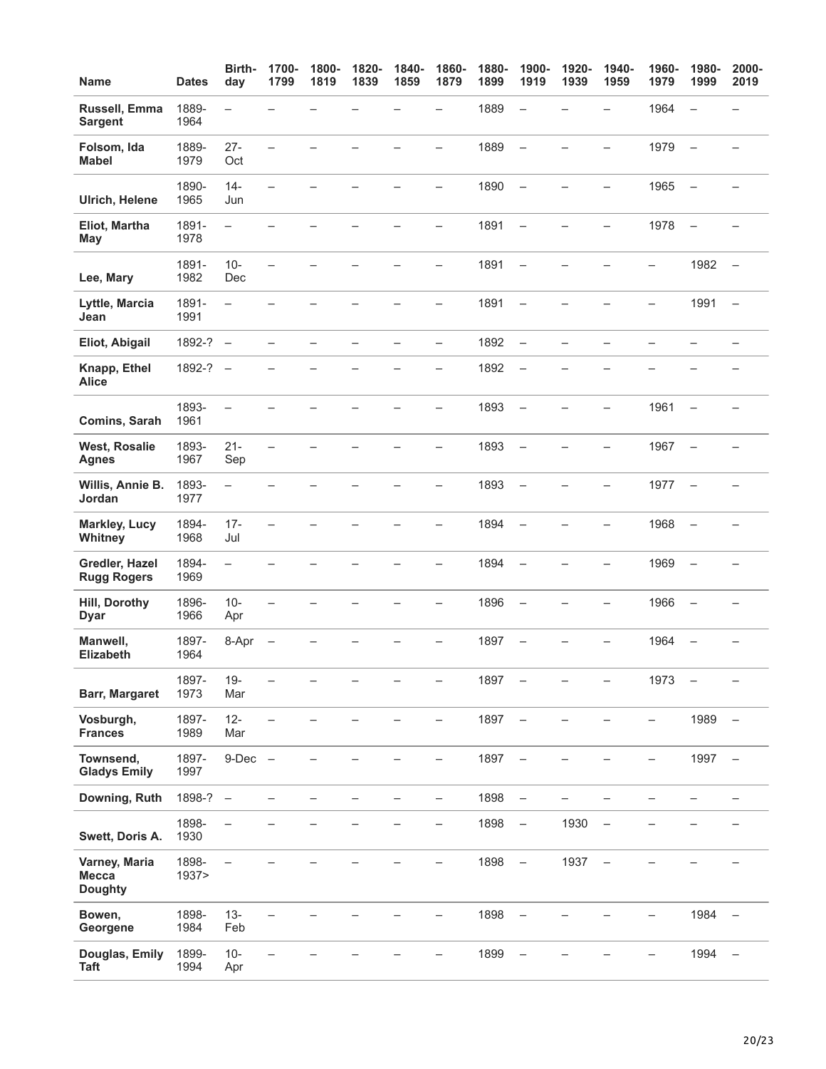| <b>Name</b>                                     | <b>Dates</b>   | Birth-<br>day            | 1700-<br>1799            | 1800-<br>1819 | 1820-<br>1839 | 1840-<br>1859            | 1860-<br>1879            | 1880-<br>1899 | 1900-<br>1919                     | 1920-<br>1939            | 1940-<br>1959            | 1960-<br>1979            | 1980-<br>1999            | 2000-<br>2019            |
|-------------------------------------------------|----------------|--------------------------|--------------------------|---------------|---------------|--------------------------|--------------------------|---------------|-----------------------------------|--------------------------|--------------------------|--------------------------|--------------------------|--------------------------|
| Russell, Emma<br><b>Sargent</b>                 | 1889-<br>1964  | $\overline{\phantom{0}}$ |                          |               |               |                          | $\overline{\phantom{0}}$ | 1889          | $\overline{\phantom{0}}$          |                          | $\overline{\phantom{0}}$ | 1964                     | $\overline{\phantom{0}}$ |                          |
| Folsom, Ida<br><b>Mabel</b>                     | 1889-<br>1979  | $27 -$<br>Oct            | L.                       |               |               |                          | $\overline{\phantom{0}}$ | 1889          | $\equiv$                          | $\overline{\phantom{0}}$ | $\overline{\phantom{0}}$ | 1979                     | $\overline{\phantom{0}}$ | $\rightarrow$            |
| <b>Ulrich, Helene</b>                           | 1890-<br>1965  | $14 -$<br>Jun            | $\overline{\phantom{0}}$ |               |               |                          | —                        | 1890          | $\overline{\phantom{m}}$          | -                        | -                        | 1965                     | $\qquad \qquad -$        |                          |
| Eliot, Martha<br><b>May</b>                     | 1891-<br>1978  | $\overline{\phantom{0}}$ |                          |               |               |                          | $\overline{\phantom{0}}$ | 1891          | $\overline{\phantom{0}}$          |                          | $\overline{\phantom{0}}$ | 1978                     | $\frac{1}{2}$            |                          |
| Lee, Mary                                       | 1891-<br>1982  | $10-$<br>Dec             | $\overline{\phantom{0}}$ |               |               |                          | $\overline{\phantom{0}}$ | 1891          | $\qquad \qquad -$                 |                          |                          | $\overline{\phantom{0}}$ | 1982                     | $\overline{\phantom{0}}$ |
| Lyttle, Marcia<br>Jean                          | 1891-<br>1991  | $\overline{\phantom{0}}$ |                          |               |               |                          | $\overline{\phantom{0}}$ | 1891          | $\overline{\phantom{m}}$          |                          |                          | $\overline{\phantom{0}}$ | 1991                     | $\overline{\phantom{m}}$ |
| Eliot, Abigail                                  | $1892-? -$     |                          | $\overline{\phantom{0}}$ |               |               | $\overline{\phantom{0}}$ | $\overline{\phantom{0}}$ | 1892          | $\overline{\phantom{0}}$          | $\overline{\phantom{0}}$ |                          |                          |                          |                          |
| Knapp, Ethel<br><b>Alice</b>                    | 1892-?         | $\overline{\phantom{a}}$ |                          |               |               |                          | —                        | 1892          | $\overline{\phantom{a}}$          |                          |                          |                          |                          |                          |
| Comins, Sarah                                   | 1893-<br>1961  | $\overline{\phantom{0}}$ |                          |               |               |                          | —                        | 1893          | $\overline{\phantom{a}}$          |                          |                          | 1961                     | $\equiv$                 |                          |
| <b>West, Rosalie</b><br><b>Agnes</b>            | 1893-<br>1967  | $21 -$<br>Sep            | $\overline{\phantom{0}}$ |               |               |                          | $\overline{\phantom{0}}$ | 1893          | $\overline{\phantom{0}}$          | $\overline{\phantom{0}}$ | $\overline{\phantom{0}}$ | 1967                     | $\overline{\phantom{0}}$ |                          |
| Willis, Annie B.<br>Jordan                      | 1893-<br>1977  | $\qquad \qquad -$        |                          |               |               |                          | —                        | 1893          | $\overline{\phantom{a}}$          | $\overline{\phantom{0}}$ | -                        | 1977                     | $\overline{\phantom{a}}$ |                          |
| <b>Markley, Lucy</b><br>Whitney                 | 1894-<br>1968  | $17 -$<br>Jul            | $\overline{\phantom{0}}$ |               |               |                          | $\overline{\phantom{0}}$ | 1894          | $\overline{\phantom{a}}$          |                          | $\overline{\phantom{0}}$ | 1968                     | $\qquad \qquad -$        |                          |
| Gredler, Hazel<br><b>Rugg Rogers</b>            | 1894-<br>1969  | $\overline{\phantom{0}}$ |                          |               |               |                          |                          | 1894          | $\overline{\phantom{0}}$          |                          |                          | 1969                     | $\overline{\phantom{0}}$ |                          |
| Hill, Dorothy<br><b>Dyar</b>                    | 1896-<br>1966  | $10-$<br>Apr             | $\overline{\phantom{0}}$ |               |               |                          | $\overline{\phantom{0}}$ | 1896          | $\overline{\phantom{m}}$          |                          | $\overline{\phantom{0}}$ | 1966                     | $\overline{\phantom{0}}$ |                          |
| Manwell,<br><b>Elizabeth</b>                    | 1897-<br>1964  | 8-Apr                    |                          |               |               |                          |                          | 1897          | $\overline{\phantom{0}}$          |                          |                          | 1964                     | $\overline{\phantom{0}}$ |                          |
| <b>Barr, Margaret</b>                           | 1897-<br>1973  | $19 -$<br>Mar            | $\overline{\phantom{0}}$ |               |               |                          | —                        | 1897          | $\overline{\phantom{0}}$          |                          | $\overline{\phantom{0}}$ | 1973                     |                          |                          |
| Vosburgh,<br><b>Frances</b>                     | 1897-<br>1989  | $12 -$<br>Mar            |                          |               |               |                          | -                        | 1897          | $\overline{\phantom{a}}$          |                          |                          | $\overline{\phantom{0}}$ | 1989                     | $\overline{\phantom{m}}$ |
| Townsend,<br><b>Gladys Emily</b>                | 1897-<br>1997  | $9-Dec$ $-$              |                          |               |               |                          | —                        | 1897          | $\qquad \qquad -$                 |                          |                          |                          | 1997                     | $\qquad \qquad -$        |
| Downing, Ruth                                   | 1898-?         | $\overline{\phantom{a}}$ |                          |               |               |                          | -                        | 1898          | $\overline{\phantom{a}}$          |                          |                          |                          |                          |                          |
| Swett, Doris A.                                 | 1898-<br>1930  | $\overline{\phantom{0}}$ |                          |               |               |                          | $\overline{\phantom{0}}$ | 1898          | $\overline{\phantom{a}}$          | 1930                     | $\overline{\phantom{0}}$ |                          |                          |                          |
| Varney, Maria<br><b>Mecca</b><br><b>Doughty</b> | 1898-<br>1937> | $\overline{\phantom{0}}$ |                          |               |               |                          | $=$                      | 1898          | $\hspace{0.1cm}$ $\hspace{0.1cm}$ | 1937                     | $\qquad \qquad -$        |                          |                          |                          |
| Bowen,<br>Georgene                              | 1898-<br>1984  | $13 -$<br>Feb            |                          |               |               |                          |                          | 1898          | $\overline{\phantom{m}}$          |                          |                          |                          | 1984                     | $\overline{\phantom{m}}$ |
| Douglas, Emily<br><b>Taft</b>                   | 1899-<br>1994  | $10 -$<br>Apr            |                          |               |               |                          |                          | 1899          |                                   |                          |                          |                          | 1994                     | $\qquad \qquad -$        |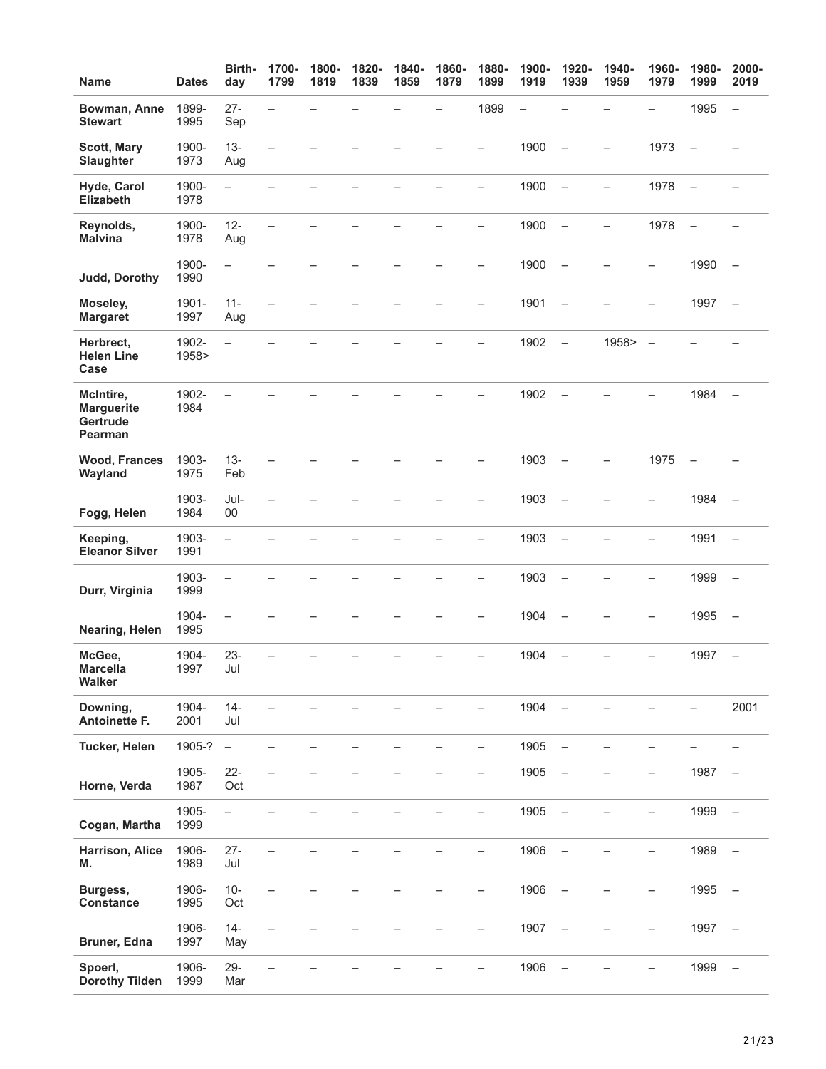| <b>Name</b>                                           | <b>Dates</b>   | Birth-<br>day            | 1700-<br>1799            | 1800-<br>1819 | 1820-<br>1839 | 1840-<br>1859 | 1860-<br>1879            | 1880-<br>1899            | 1900-<br>1919            | 1920-<br>1939            | 1940-<br>1959            | 1960-<br>1979            | 1980-<br>1999            | 2000-<br>2019            |
|-------------------------------------------------------|----------------|--------------------------|--------------------------|---------------|---------------|---------------|--------------------------|--------------------------|--------------------------|--------------------------|--------------------------|--------------------------|--------------------------|--------------------------|
| Bowman, Anne<br><b>Stewart</b>                        | 1899-<br>1995  | $27 -$<br>Sep            | $\overline{\phantom{0}}$ |               |               |               |                          | 1899                     | $\overline{\phantom{0}}$ |                          |                          | $\overline{\phantom{0}}$ | 1995                     | $\qquad \qquad -$        |
| <b>Scott, Mary</b><br>Slaughter                       | 1900-<br>1973  | $13 -$<br>Aug            | L.                       |               |               |               |                          | $\overline{\phantom{0}}$ | 1900                     | $\overline{\phantom{0}}$ | $\overline{\phantom{0}}$ | 1973                     | $\equiv$                 | $\overline{\phantom{0}}$ |
| Hyde, Carol<br><b>Elizabeth</b>                       | 1900-<br>1978  | $\overline{\phantom{0}}$ |                          |               |               |               |                          | —                        | 1900                     | $\overline{\phantom{0}}$ | $\overline{\phantom{0}}$ | 1978                     | $\overline{\phantom{0}}$ |                          |
| Reynolds,<br><b>Malvina</b>                           | 1900-<br>1978  | $12 -$<br>Aug            |                          |               |               |               |                          |                          | 1900                     | $\overline{\phantom{0}}$ | $\overline{\phantom{0}}$ | 1978                     | $\overline{\phantom{0}}$ |                          |
| Judd, Dorothy                                         | 1900-<br>1990  | $\overline{\phantom{0}}$ |                          |               |               |               |                          |                          | 1900                     | $\overline{\phantom{0}}$ |                          |                          | 1990                     |                          |
| Moseley,<br><b>Margaret</b>                           | 1901-<br>1997  | $11 -$<br>Aug            |                          |               |               |               |                          | ÷,                       | 1901                     | $\overline{\phantom{0}}$ |                          |                          | 1997                     | $\overline{\phantom{a}}$ |
| Herbrect,<br><b>Helen Line</b><br>Case                | 1902-<br>1958> | $\overline{\phantom{0}}$ |                          |               |               |               |                          |                          | 1902                     | $\overline{\phantom{0}}$ | 1958>                    | $\overline{\phantom{a}}$ |                          |                          |
| McIntire,<br><b>Marguerite</b><br>Gertrude<br>Pearman | 1902-<br>1984  | $\overline{\phantom{0}}$ |                          |               |               |               |                          |                          | 1902                     | $\overline{\phantom{0}}$ |                          |                          | 1984                     | $\overline{\phantom{0}}$ |
| <b>Wood, Frances</b><br>Wayland                       | 1903-<br>1975  | $13 -$<br>Feb            |                          |               |               |               |                          |                          | 1903                     | $\overline{\phantom{0}}$ | $\overline{\phantom{0}}$ | 1975                     | $\overline{\phantom{0}}$ |                          |
| Fogg, Helen                                           | 1903-<br>1984  | Jul-<br>00               |                          |               |               |               |                          | -                        | 1903                     | $\overline{\phantom{0}}$ |                          | -                        | 1984                     | $\overline{\phantom{0}}$ |
| Keeping,<br><b>Eleanor Silver</b>                     | 1903-<br>1991  | $\qquad \qquad -$        |                          |               |               |               |                          | <u>.</u>                 | 1903                     | $\overline{\phantom{0}}$ |                          |                          | 1991                     | $\qquad \qquad -$        |
| Durr, Virginia                                        | 1903-<br>1999  | $\overline{\phantom{0}}$ |                          |               |               |               |                          | $\overline{\phantom{0}}$ | 1903                     | $\overline{\phantom{0}}$ |                          |                          | 1999                     | $\overline{\phantom{0}}$ |
| Nearing, Helen                                        | 1904-<br>1995  | $\overline{\phantom{0}}$ |                          |               |               |               |                          |                          | 1904                     | $\overline{\phantom{0}}$ |                          | -                        | 1995                     | $\overline{\phantom{0}}$ |
| McGee,<br><b>Marcella</b><br>Walker                   | 1904-<br>1997  | $23 -$<br>Jul            |                          |               |               |               |                          | -                        | 1904                     | $\overline{\phantom{0}}$ |                          | -                        | 1997                     | $\overline{\phantom{0}}$ |
| Downing,<br>Antoinette F.                             | 1904-<br>2001  | $14 -$<br>Jul            |                          |               |               |               |                          |                          | 1904                     | $\overline{\phantom{0}}$ |                          |                          |                          | 2001                     |
| Tucker, Helen                                         | 1905-?         | $\overline{\phantom{m}}$ | $\overline{\phantom{0}}$ | ÷.            |               |               | $\overline{\phantom{0}}$ | $\overline{\phantom{0}}$ | 1905                     | $\qquad \qquad -$        | —                        | $\overline{\phantom{0}}$ |                          |                          |
| Horne, Verda                                          | 1905-<br>1987  | $22 -$<br>Oct            | $\overline{\phantom{0}}$ |               |               |               |                          |                          | 1905                     | $\overline{\phantom{0}}$ |                          | -                        | 1987                     |                          |
| Cogan, Martha                                         | 1905-<br>1999  | $\overline{\phantom{0}}$ |                          |               |               |               |                          | $\qquad \qquad -$        | 1905                     | $\overline{\phantom{0}}$ | $\equiv$                 | $\overline{\phantom{0}}$ | 1999                     | $\frac{1}{2}$            |
| <b>Harrison, Alice</b><br>M.                          | 1906-<br>1989  | $27 -$<br>Jul            |                          |               |               |               |                          | —                        | 1906                     | $\overline{\phantom{0}}$ |                          | -                        | 1989                     | $\overline{\phantom{a}}$ |
| Burgess,<br>Constance                                 | 1906-<br>1995  | $10 -$<br>Oct            | $\overline{\phantom{0}}$ |               |               |               |                          | $\overline{\phantom{0}}$ | 1906                     | $\overline{\phantom{0}}$ |                          |                          | 1995                     | $\overline{\phantom{0}}$ |
| Bruner, Edna                                          | 1906-<br>1997  | $14 -$<br>May            |                          |               |               |               |                          | —                        | 1907                     | $\overline{\phantom{0}}$ |                          | —                        | 1997                     | $\overline{\phantom{0}}$ |
| Spoerl,<br><b>Dorothy Tilden</b>                      | 1906-<br>1999  | $29 -$<br>Mar            |                          |               |               |               |                          |                          | 1906                     |                          |                          |                          | 1999                     | $\qquad \qquad -$        |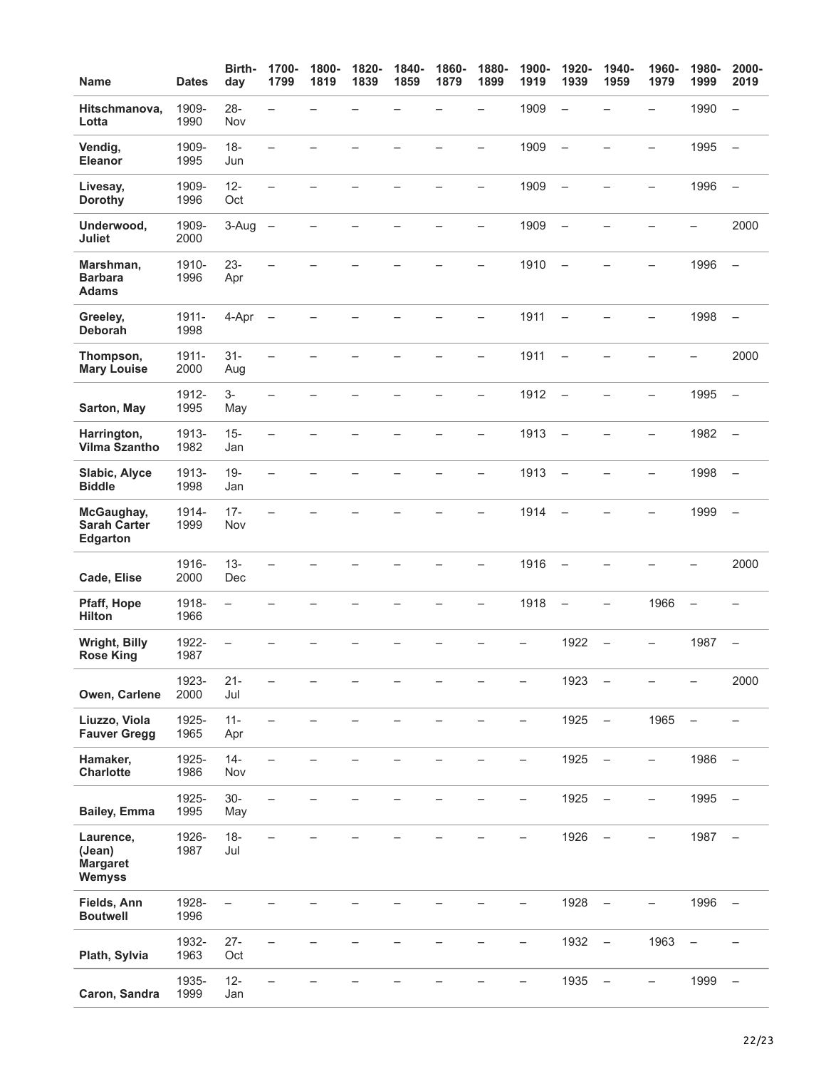| <b>Name</b>                                             | <b>Dates</b>  | Birth-<br>day            | 1700-<br>1799            | 1800-<br>1819 | 1820-<br>1839 | 1840-<br>1859 | 1860-<br>1879 | 1880-<br>1899            | 1900-<br>1919 | 1920-<br>1939            | 1940-<br>1959            | 1960-<br>1979            | 1980-<br>1999            | 2000-<br>2019            |
|---------------------------------------------------------|---------------|--------------------------|--------------------------|---------------|---------------|---------------|---------------|--------------------------|---------------|--------------------------|--------------------------|--------------------------|--------------------------|--------------------------|
| Hitschmanova,<br>Lotta                                  | 1909-<br>1990 | $28 -$<br>Nov            | $\equiv$                 |               |               |               |               | $\overline{\phantom{0}}$ | 1909          | $\overline{\phantom{0}}$ |                          | -                        | 1990                     | $\overline{\phantom{0}}$ |
| Vendig,<br><b>Eleanor</b>                               | 1909-<br>1995 | $18 -$<br>Jun            | $\overline{\phantom{0}}$ |               |               |               |               |                          | 1909          | $\overline{\phantom{0}}$ |                          |                          | 1995                     | $\overline{\phantom{m}}$ |
| Livesay,<br><b>Dorothy</b>                              | 1909-<br>1996 | $12 -$<br>Oct            | $\overline{\phantom{0}}$ |               |               |               |               | -                        | 1909          | $\overline{\phantom{m}}$ |                          | $\overline{\phantom{0}}$ | 1996                     | $\overline{\phantom{m}}$ |
| Underwood,<br>Juliet                                    | 1909-<br>2000 | 3-Aug                    | $\overline{\phantom{0}}$ |               |               |               |               | -                        | 1909          | $\overline{\phantom{a}}$ |                          |                          | -                        | 2000                     |
| Marshman,<br><b>Barbara</b><br><b>Adams</b>             | 1910-<br>1996 | $23 -$<br>Apr            | $\overline{\phantom{0}}$ |               |               |               |               | $\overline{\phantom{0}}$ | 1910          | $\equiv$                 |                          |                          | 1996                     |                          |
| Greeley,<br>Deborah                                     | 1911-<br>1998 | 4-Apr                    | $\overline{\phantom{0}}$ |               |               |               |               | $\overline{\phantom{0}}$ | 1911          | $\equiv$                 |                          | $\overline{\phantom{0}}$ | 1998                     | $\equiv$                 |
| Thompson,<br><b>Mary Louise</b>                         | 1911-<br>2000 | $31 -$<br>Aug            | $\overline{\phantom{0}}$ |               |               |               |               | -                        | 1911          | $\qquad \qquad -$        | <u>.</u>                 |                          | $\overline{\phantom{0}}$ | 2000                     |
| Sarton, May                                             | 1912-<br>1995 | 3-<br>May                | $\overline{\phantom{0}}$ |               |               |               |               | $\overline{\phantom{0}}$ | 1912          | $\overline{\phantom{a}}$ |                          | -                        | 1995                     | $\overline{\phantom{0}}$ |
| Harrington,<br><b>Vilma Szantho</b>                     | 1913-<br>1982 | $15 -$<br>Jan            |                          |               |               |               |               | $\overline{\phantom{0}}$ | 1913          | $\equiv$                 |                          |                          | 1982                     | $\overline{\phantom{a}}$ |
| Slabic, Alyce<br><b>Biddle</b>                          | 1913-<br>1998 | $19 -$<br>Jan            | $\overline{\phantom{0}}$ |               |               |               |               | $\overline{\phantom{0}}$ | 1913          | $\overline{\phantom{m}}$ |                          |                          | 1998                     | $\overline{\phantom{m}}$ |
| McGaughay,<br><b>Sarah Carter</b><br>Edgarton           | 1914-<br>1999 | $17 -$<br>Nov            |                          |               |               |               |               |                          | 1914          | $\overline{\phantom{0}}$ |                          |                          | 1999                     | $\overline{\phantom{m}}$ |
| Cade, Elise                                             | 1916-<br>2000 | $13 -$<br>Dec            |                          |               |               |               |               | $\overline{\phantom{0}}$ | 1916          | $\qquad \qquad -$        |                          |                          | $\overline{\phantom{0}}$ | 2000                     |
| Pfaff, Hope<br><b>Hilton</b>                            | 1918-<br>1966 | $\equiv$                 |                          |               |               |               |               | $\overline{\phantom{0}}$ | 1918          | $\overline{\phantom{0}}$ | -                        | 1966                     | $\qquad \qquad -$        |                          |
| Wright, Billy<br><b>Rose King</b>                       | 1922-<br>1987 |                          |                          |               |               |               |               |                          |               | 1922                     |                          |                          | 1987                     |                          |
| Owen, Carlene                                           | 1923-<br>2000 | $21 -$<br>Jul            |                          |               |               |               |               |                          |               | 1923                     |                          |                          |                          | 2000                     |
| Liuzzo, Viola<br><b>Fauver Gregg</b>                    | 1925-<br>1965 | $11 -$<br>Apr            | $\overline{\phantom{0}}$ |               |               |               |               |                          | -             | 1925                     | $\qquad \qquad -$        | 1965                     | $\qquad \qquad -$        | —                        |
| Hamaker,<br><b>Charlotte</b>                            | 1925-<br>1986 | $14 -$<br>Nov            | $\overline{\phantom{0}}$ |               |               |               |               |                          | -             | 1925                     | $\qquad \qquad -$        | -                        | 1986                     |                          |
| <b>Bailey, Emma</b>                                     | 1925-<br>1995 | $30-$<br>May             |                          |               |               |               |               |                          |               | 1925                     | $\qquad \qquad -$        | $\overline{\phantom{0}}$ | 1995                     | $\overline{\phantom{a}}$ |
| Laurence,<br>(Jean)<br><b>Margaret</b><br><b>Wemyss</b> | 1926-<br>1987 | $18 -$<br>Jul            |                          |               |               |               |               |                          |               | 1926                     | $\overline{\phantom{m}}$ | $\equiv$                 | 1987                     | $\overline{\phantom{0}}$ |
| Fields, Ann<br><b>Boutwell</b>                          | 1928-<br>1996 | $\overline{\phantom{0}}$ |                          |               |               |               |               |                          |               | 1928                     | $\qquad \qquad -$        |                          | 1996                     | $\overline{\phantom{a}}$ |
| Plath, Sylvia                                           | 1932-<br>1963 | $27 -$<br>Oct            |                          |               |               |               |               |                          | -             | 1932                     | $\overline{\phantom{m}}$ | 1963                     | $\qquad \qquad -$        |                          |
| Caron, Sandra                                           | 1935-<br>1999 | $12 -$<br>Jan            |                          |               |               |               |               |                          |               | 1935                     | $\qquad \qquad -$        | $\overline{\phantom{0}}$ | 1999                     | $\equiv$                 |